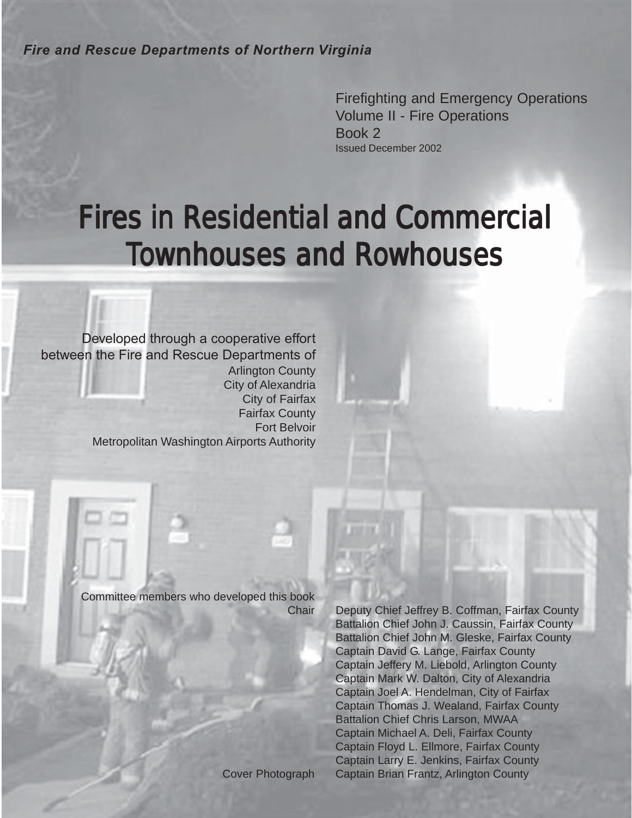*Fire and Rescue Departments of Northern Virginia*

Firefighting and Emergency Operations Volume II - Fire Operations Book 2 Issued December 2002

# Fires in Residential and Commercial **Townhouses and Rowhouses**

Developed through a cooperative effort between the Fire and Rescue Departments of Arlington County City of Alexandria City of Fairfax Fairfax County Fort Belvoir Metropolitan Washington Airports Authority

Committee members who developed this book

Chair Deputy Chief Jeffrey B. Coffman, Fairfax County Battalion Chief John J. Caussin, Fairfax County Battalion Chief John M. Gleske, Fairfax County Captain David G. Lange, Fairfax County Captain Jeffery M. Liebold, Arlington County Captain Mark W. Dalton, City of Alexandria Captain Joel A. Hendelman, City of Fairfax Captain Thomas J. Wealand, Fairfax County Battalion Chief Chris Larson, MWAA Captain Michael A. Deli, Fairfax County Captain Floyd L. Ellmore, Fairfax County Captain Larry E. Jenkins, Fairfax County Cover Photograph Captain Brian Frantz, Arlington County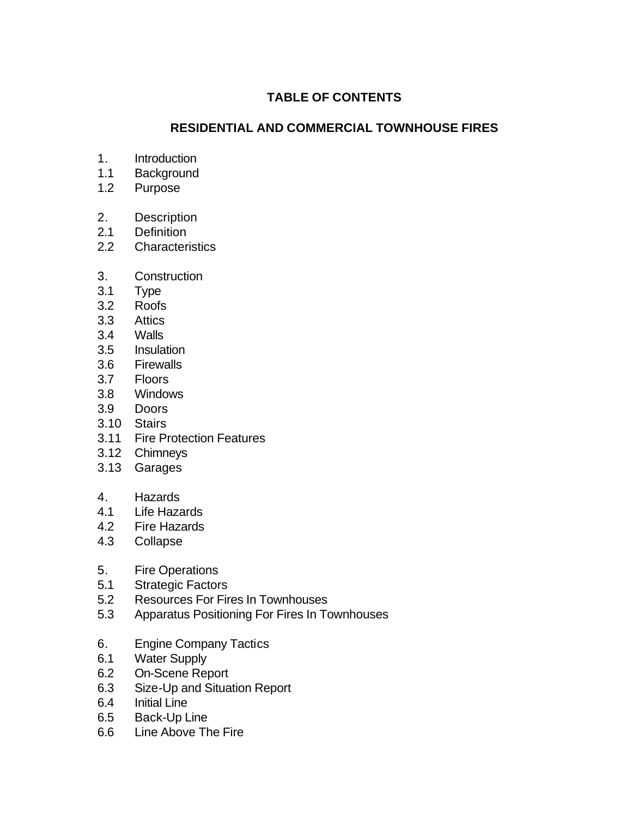# **TABLE OF CONTENTS**

## **RESIDENTIAL AND COMMERCIAL TOWNHOUSE FIRES**

- 1. Introduction
- 1.1 Background
- 1.2 Purpose
- 2. Description
- 2.1 Definition
- 2.2 Characteristics
- 3. Construction
- 3.1 Type
- 3.2 Roofs
- 3.3 Attics
- 3.4 Walls
- 3.5 Insulation
- 3.6 Firewalls
- 3.7 Floors
- 3.8 Windows
- 3.9 Doors
- 3.10 Stairs
- 3.11 Fire Protection Features
- 3.12 Chimneys
- 3.13 Garages
- 4. Hazards
- 4.1 Life Hazards
- 4.2 Fire Hazards
- 4.3 Collapse
- 5. Fire Operations
- 5.1 Strategic Factors
- 5.2 Resources For Fires In Townhouses
- 5.3 Apparatus Positioning For Fires In Townhouses
- 6. Engine Company Tactics
- 6.1 Water Supply
- 6.2 On-Scene Report
- 6.3 Size-Up and Situation Report
- 6.4 Initial Line
- 6.5 Back-Up Line
- 6.6 Line Above The Fire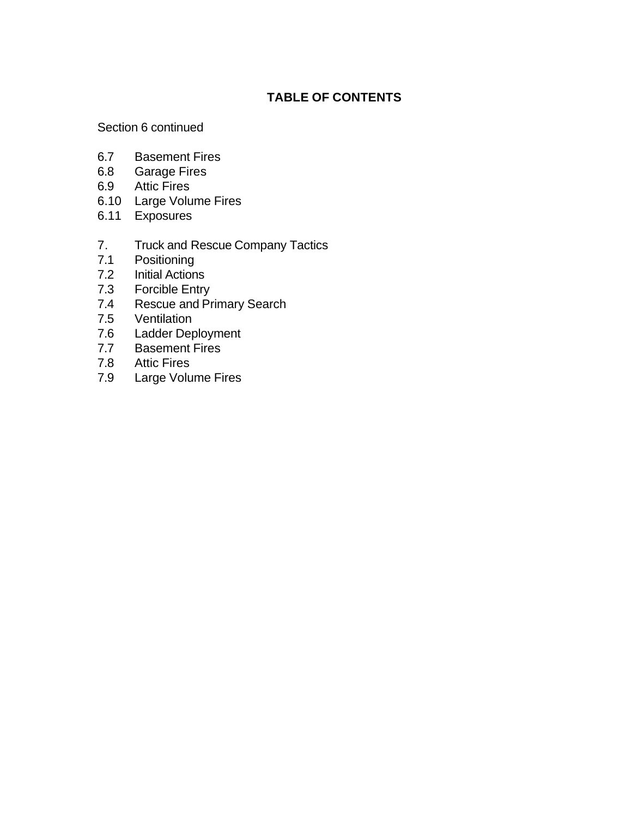# **TABLE OF CONTENTS**

#### Section 6 continued

- 6.7 Basement Fires
- 6.8 Garage Fires
- 6.9 Attic Fires
- 6.10 Large Volume Fires
- 6.11 Exposures
- 7. Truck and Rescue Company Tactics
- 7.1 Positioning
- 7.2 Initial Actions
- 7.3 Forcible Entry
- 7.4 Rescue and Primary Search
- 7.5 Ventilation
- 7.6 Ladder Deployment
- 7.7 Basement Fires
- 7.8 Attic Fires
- 7.9 Large Volume Fires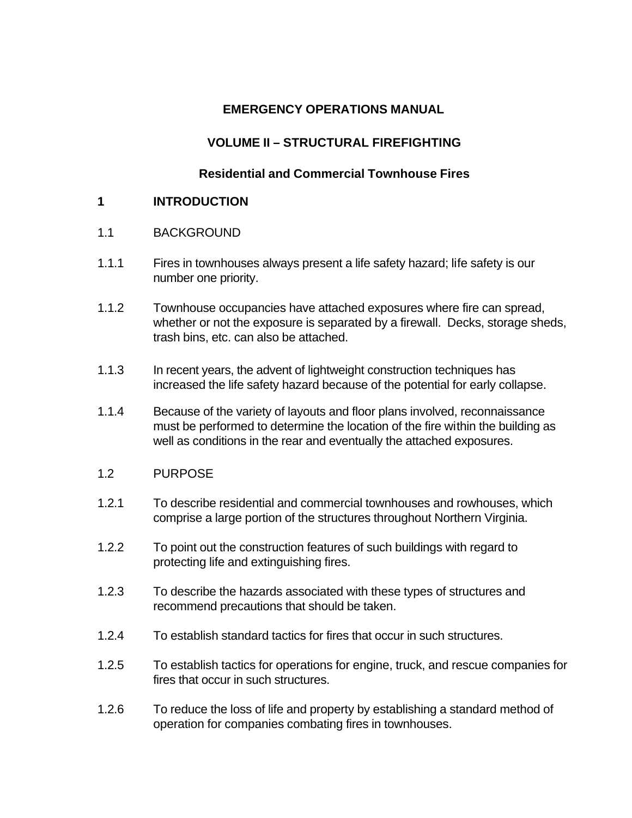# **EMERGENCY OPERATIONS MANUAL**

# **VOLUME II – STRUCTURAL FIREFIGHTING**

## **Residential and Commercial Townhouse Fires**

#### **1 INTRODUCTION**

- 1.1 BACKGROUND
- 1.1.1 Fires in townhouses always present a life safety hazard; life safety is our number one priority.
- 1.1.2 Townhouse occupancies have attached exposures where fire can spread, whether or not the exposure is separated by a firewall. Decks, storage sheds, trash bins, etc. can also be attached.
- 1.1.3 In recent years, the advent of lightweight construction techniques has increased the life safety hazard because of the potential for early collapse.
- 1.1.4 Because of the variety of layouts and floor plans involved, reconnaissance must be performed to determine the location of the fire within the building as well as conditions in the rear and eventually the attached exposures.
- 1.2 PURPOSE
- 1.2.1 To describe residential and commercial townhouses and rowhouses, which comprise a large portion of the structures throughout Northern Virginia.
- 1.2.2 To point out the construction features of such buildings with regard to protecting life and extinguishing fires.
- 1.2.3 To describe the hazards associated with these types of structures and recommend precautions that should be taken.
- 1.2.4 To establish standard tactics for fires that occur in such structures.
- 1.2.5 To establish tactics for operations for engine, truck, and rescue companies for fires that occur in such structures.
- 1.2.6 To reduce the loss of life and property by establishing a standard method of operation for companies combating fires in townhouses.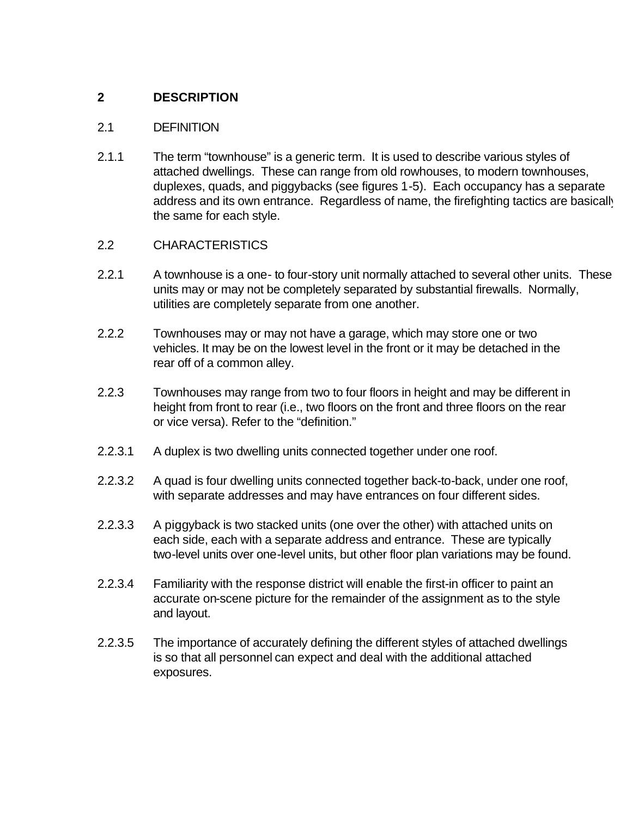# **2 DESCRIPTION**

#### 2.1 DEFINITION

2.1.1 The term "townhouse" is a generic term. It is used to describe various styles of attached dwellings. These can range from old rowhouses, to modern townhouses, duplexes, quads, and piggybacks (see figures 1-5). Each occupancy has a separate address and its own entrance. Regardless of name, the firefighting tactics are basically the same for each style.

## 2.2 CHARACTERISTICS

- 2.2.1 A townhouse is a one- to four-story unit normally attached to several other units. These units may or may not be completely separated by substantial firewalls. Normally, utilities are completely separate from one another.
- 2.2.2 Townhouses may or may not have a garage, which may store one or two vehicles. It may be on the lowest level in the front or it may be detached in the rear off of a common alley.
- 2.2.3 Townhouses may range from two to four floors in height and may be different in height from front to rear (i.e., two floors on the front and three floors on the rear or vice versa). Refer to the "definition."
- 2.2.3.1 A duplex is two dwelling units connected together under one roof.
- 2.2.3.2 A quad is four dwelling units connected together back-to-back, under one roof, with separate addresses and may have entrances on four different sides.
- 2.2.3.3 A piggyback is two stacked units (one over the other) with attached units on each side, each with a separate address and entrance. These are typically two-level units over one-level units, but other floor plan variations may be found.
- 2.2.3.4 Familiarity with the response district will enable the first-in officer to paint an accurate on-scene picture for the remainder of the assignment as to the style and layout.
- 2.2.3.5 The importance of accurately defining the different styles of attached dwellings is so that all personnel can expect and deal with the additional attached exposures.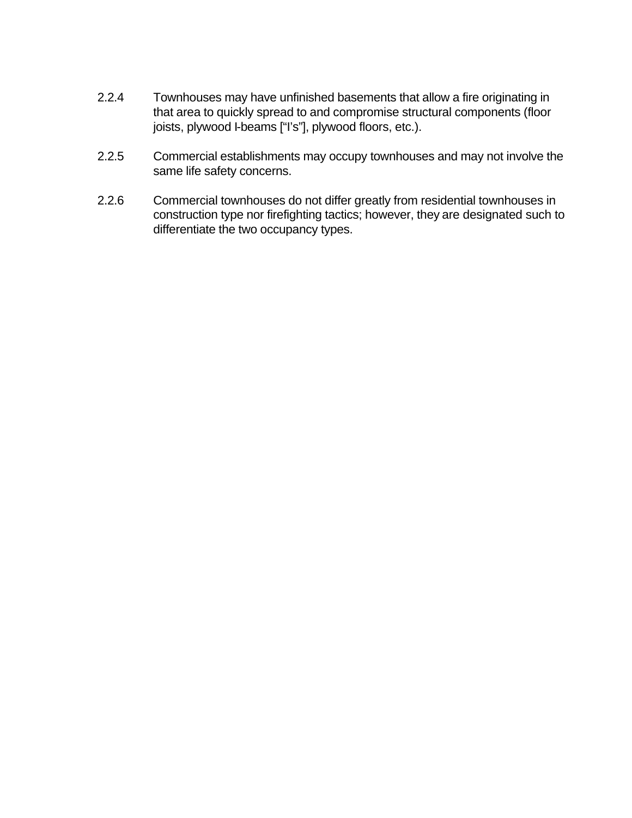- 2.2.4 Townhouses may have unfinished basements that allow a fire originating in that area to quickly spread to and compromise structural components (floor joists, plywood I-beams ["I's"], plywood floors, etc.).
- 2.2.5 Commercial establishments may occupy townhouses and may not involve the same life safety concerns.
- 2.2.6 Commercial townhouses do not differ greatly from residential townhouses in construction type nor firefighting tactics; however, they are designated such to differentiate the two occupancy types.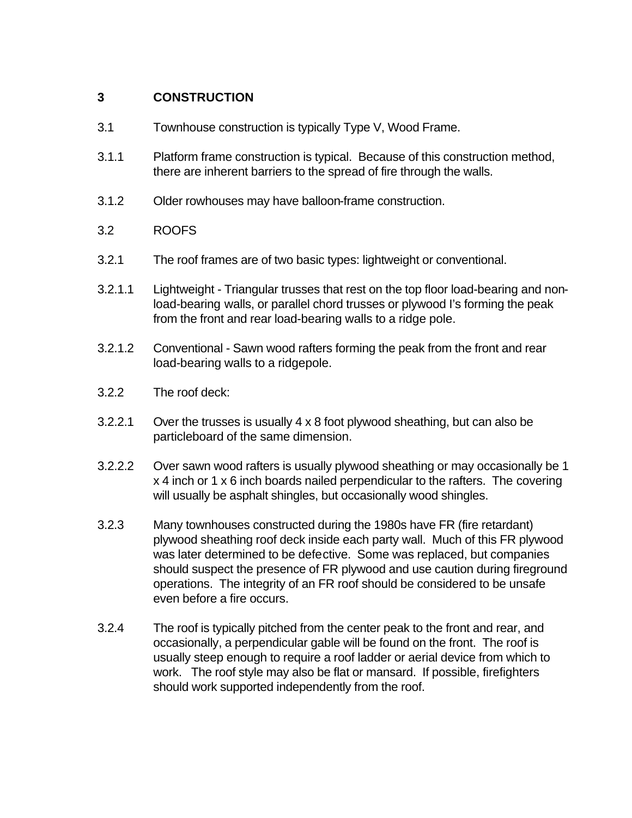# **3 CONSTRUCTION**

- 3.1 Townhouse construction is typically Type V, Wood Frame.
- 3.1.1 Platform frame construction is typical. Because of this construction method, there are inherent barriers to the spread of fire through the walls.
- 3.1.2 Older rowhouses may have balloon-frame construction.
- 3.2 ROOFS
- 3.2.1 The roof frames are of two basic types: lightweight or conventional.
- 3.2.1.1 Lightweight Triangular trusses that rest on the top floor load-bearing and nonload-bearing walls, or parallel chord trusses or plywood I's forming the peak from the front and rear load-bearing walls to a ridge pole.
- 3.2.1.2 Conventional Sawn wood rafters forming the peak from the front and rear load-bearing walls to a ridgepole.
- 3.2.2 The roof deck:
- 3.2.2.1 Over the trusses is usually 4 x 8 foot plywood sheathing, but can also be particleboard of the same dimension.
- 3.2.2.2 Over sawn wood rafters is usually plywood sheathing or may occasionally be 1 x 4 inch or 1 x 6 inch boards nailed perpendicular to the rafters. The covering will usually be asphalt shingles, but occasionally wood shingles.
- 3.2.3 Many townhouses constructed during the 1980s have FR (fire retardant) plywood sheathing roof deck inside each party wall. Much of this FR plywood was later determined to be defective. Some was replaced, but companies should suspect the presence of FR plywood and use caution during fireground operations. The integrity of an FR roof should be considered to be unsafe even before a fire occurs.
- 3.2.4 The roof is typically pitched from the center peak to the front and rear, and occasionally, a perpendicular gable will be found on the front. The roof is usually steep enough to require a roof ladder or aerial device from which to work. The roof style may also be flat or mansard. If possible, firefighters should work supported independently from the roof.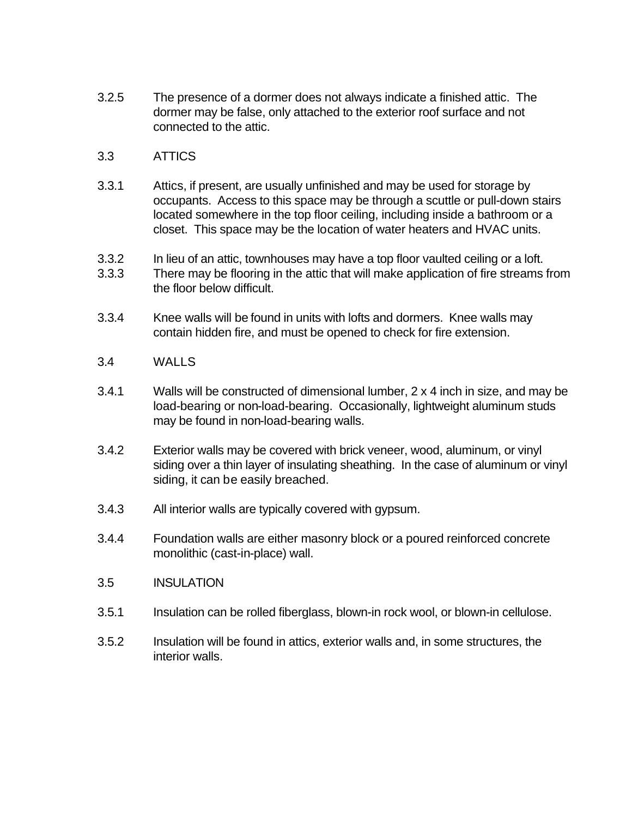- 3.2.5 The presence of a dormer does not always indicate a finished attic. The dormer may be false, only attached to the exterior roof surface and not connected to the attic.
- 3.3 ATTICS
- 3.3.1 Attics, if present, are usually unfinished and may be used for storage by occupants. Access to this space may be through a scuttle or pull-down stairs located somewhere in the top floor ceiling, including inside a bathroom or a closet. This space may be the location of water heaters and HVAC units.
- 3.3.2 In lieu of an attic, townhouses may have a top floor vaulted ceiling or a loft.
- 3.3.3 There may be flooring in the attic that will make application of fire streams from the floor below difficult.
- 3.3.4 Knee walls will be found in units with lofts and dormers. Knee walls may contain hidden fire, and must be opened to check for fire extension.
- 3.4 WALLS
- 3.4.1 Walls will be constructed of dimensional lumber, 2 x 4 inch in size, and may be load-bearing or non-load-bearing. Occasionally, lightweight aluminum studs may be found in non-load-bearing walls.
- 3.4.2 Exterior walls may be covered with brick veneer, wood, aluminum, or vinyl siding over a thin layer of insulating sheathing. In the case of aluminum or vinyl siding, it can be easily breached.
- 3.4.3 All interior walls are typically covered with gypsum.
- 3.4.4 Foundation walls are either masonry block or a poured reinforced concrete monolithic (cast-in-place) wall.
- 3.5 INSULATION
- 3.5.1 Insulation can be rolled fiberglass, blown-in rock wool, or blown-in cellulose.
- 3.5.2 Insulation will be found in attics, exterior walls and, in some structures, the interior walls.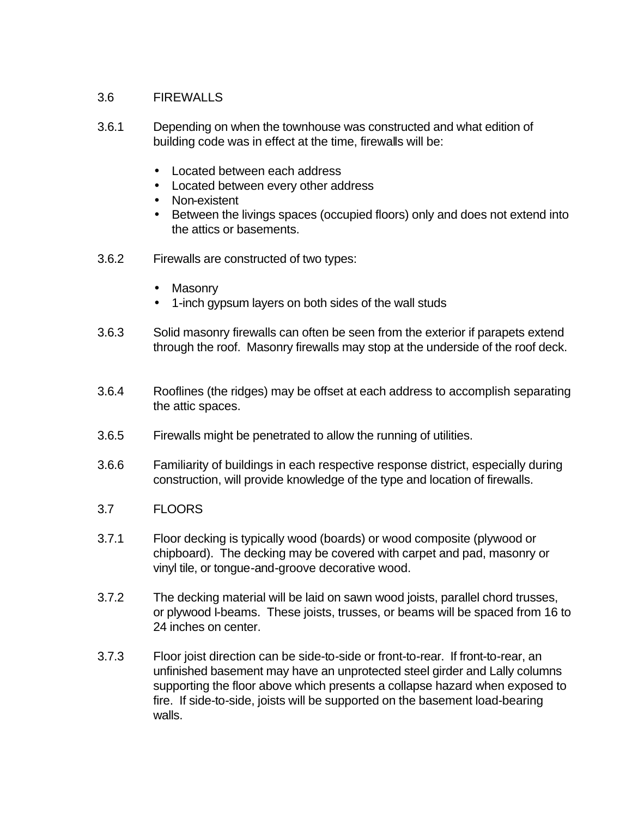#### 3.6 FIREWALLS

- 3.6.1 Depending on when the townhouse was constructed and what edition of building code was in effect at the time, firewalls will be:
	- Located between each address
	- Located between every other address
	- Non-existent
	- Between the livings spaces (occupied floors) only and does not extend into the attics or basements.
- 3.6.2 Firewalls are constructed of two types:
	- Masonry
	- 1-inch gypsum layers on both sides of the wall studs
- 3.6.3 Solid masonry firewalls can often be seen from the exterior if parapets extend through the roof. Masonry firewalls may stop at the underside of the roof deck.
- 3.6.4 Rooflines (the ridges) may be offset at each address to accomplish separating the attic spaces.
- 3.6.5 Firewalls might be penetrated to allow the running of utilities.
- 3.6.6 Familiarity of buildings in each respective response district, especially during construction, will provide knowledge of the type and location of firewalls.
- 3.7 FLOORS
- 3.7.1 Floor decking is typically wood (boards) or wood composite (plywood or chipboard). The decking may be covered with carpet and pad, masonry or vinyl tile, or tongue-and-groove decorative wood.
- 3.7.2 The decking material will be laid on sawn wood joists, parallel chord trusses, or plywood I-beams. These joists, trusses, or beams will be spaced from 16 to 24 inches on center.
- 3.7.3 Floor joist direction can be side-to-side or front-to-rear. If front-to-rear, an unfinished basement may have an unprotected steel girder and Lally columns supporting the floor above which presents a collapse hazard when exposed to fire. If side-to-side, joists will be supported on the basement load-bearing walls.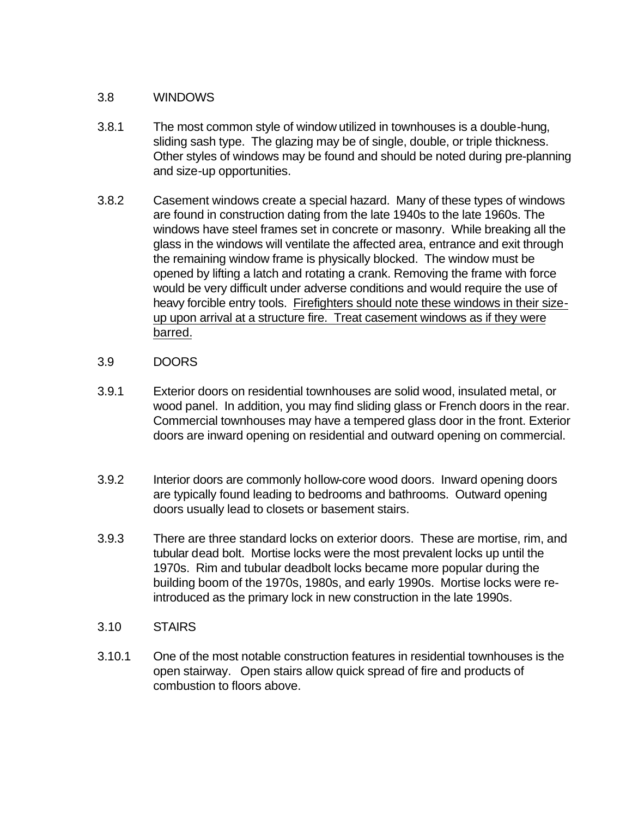#### 3.8 WINDOWS

- 3.8.1 The most common style of window utilized in townhouses is a double-hung, sliding sash type. The glazing may be of single, double, or triple thickness. Other styles of windows may be found and should be noted during pre-planning and size-up opportunities.
- 3.8.2 Casement windows create a special hazard. Many of these types of windows are found in construction dating from the late 1940s to the late 1960s. The windows have steel frames set in concrete or masonry. While breaking all the glass in the windows will ventilate the affected area, entrance and exit through the remaining window frame is physically blocked. The window must be opened by lifting a latch and rotating a crank. Removing the frame with force would be very difficult under adverse conditions and would require the use of heavy forcible entry tools. Firefighters should note these windows in their sizeup upon arrival at a structure fire. Treat casement windows as if they were barred.
- 3.9 DOORS
- 3.9.1 Exterior doors on residential townhouses are solid wood, insulated metal, or wood panel. In addition, you may find sliding glass or French doors in the rear. Commercial townhouses may have a tempered glass door in the front. Exterior doors are inward opening on residential and outward opening on commercial.
- 3.9.2 Interior doors are commonly hollow-core wood doors. Inward opening doors are typically found leading to bedrooms and bathrooms. Outward opening doors usually lead to closets or basement stairs.
- 3.9.3 There are three standard locks on exterior doors. These are mortise, rim, and tubular dead bolt. Mortise locks were the most prevalent locks up until the 1970s. Rim and tubular deadbolt locks became more popular during the building boom of the 1970s, 1980s, and early 1990s. Mortise locks were reintroduced as the primary lock in new construction in the late 1990s.
- 3.10 STAIRS
- 3.10.1 One of the most notable construction features in residential townhouses is the open stairway. Open stairs allow quick spread of fire and products of combustion to floors above.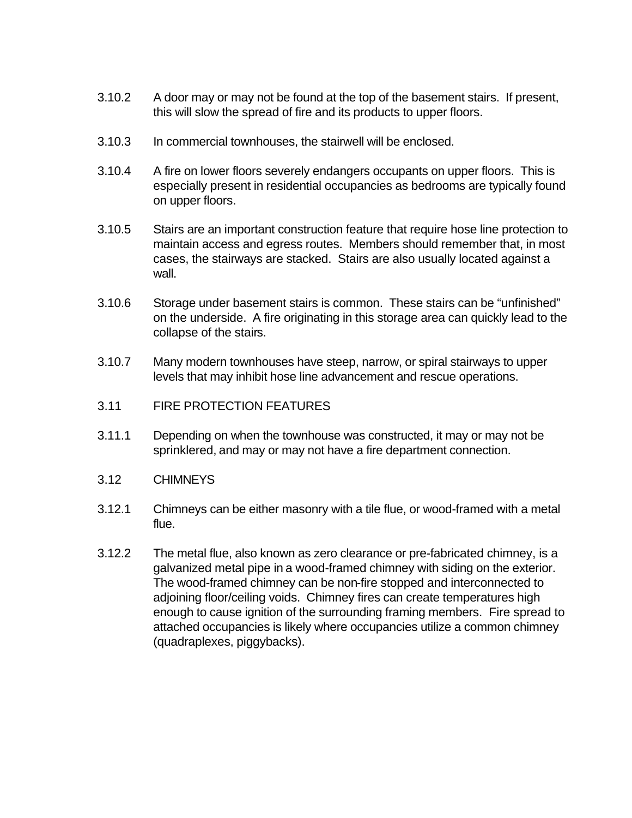- 3.10.2 A door may or may not be found at the top of the basement stairs. If present, this will slow the spread of fire and its products to upper floors.
- 3.10.3 In commercial townhouses, the stairwell will be enclosed.
- 3.10.4 A fire on lower floors severely endangers occupants on upper floors. This is especially present in residential occupancies as bedrooms are typically found on upper floors.
- 3.10.5 Stairs are an important construction feature that require hose line protection to maintain access and egress routes. Members should remember that, in most cases, the stairways are stacked. Stairs are also usually located against a wall.
- 3.10.6 Storage under basement stairs is common. These stairs can be "unfinished" on the underside. A fire originating in this storage area can quickly lead to the collapse of the stairs.
- 3.10.7 Many modern townhouses have steep, narrow, or spiral stairways to upper levels that may inhibit hose line advancement and rescue operations.
- 3.11 FIRE PROTECTION FEATURES
- 3.11.1 Depending on when the townhouse was constructed, it may or may not be sprinklered, and may or may not have a fire department connection.
- 3.12 CHIMNEYS
- 3.12.1 Chimneys can be either masonry with a tile flue, or wood-framed with a metal flue.
- 3.12.2 The metal flue, also known as zero clearance or pre-fabricated chimney, is a galvanized metal pipe in a wood-framed chimney with siding on the exterior. The wood-framed chimney can be non-fire stopped and interconnected to adjoining floor/ceiling voids. Chimney fires can create temperatures high enough to cause ignition of the surrounding framing members. Fire spread to attached occupancies is likely where occupancies utilize a common chimney (quadraplexes, piggybacks).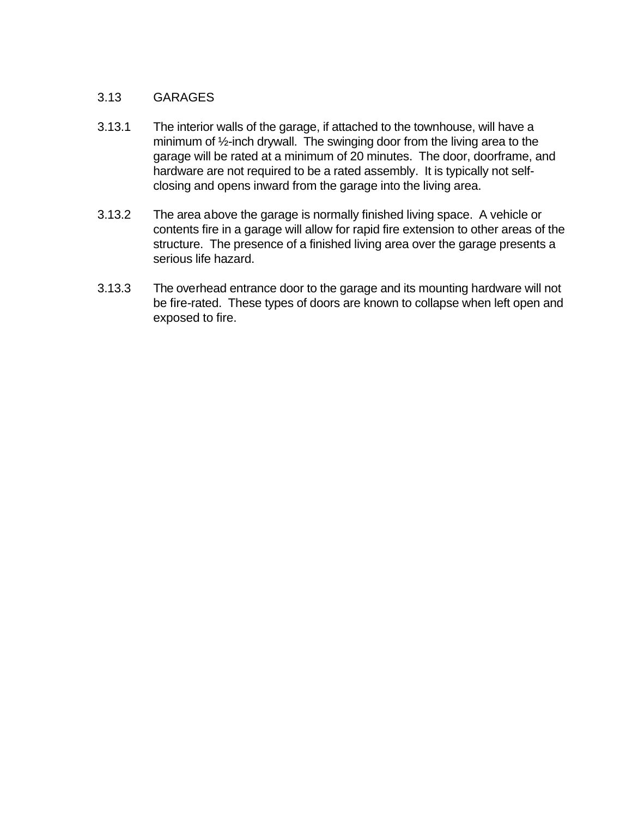# 3.13 GARAGES

- 3.13.1 The interior walls of the garage, if attached to the townhouse, will have a minimum of ½-inch drywall. The swinging door from the living area to the garage will be rated at a minimum of 20 minutes. The door, doorframe, and hardware are not required to be a rated assembly. It is typically not selfclosing and opens inward from the garage into the living area.
- 3.13.2 The area above the garage is normally finished living space. A vehicle or contents fire in a garage will allow for rapid fire extension to other areas of the structure. The presence of a finished living area over the garage presents a serious life hazard.
- 3.13.3 The overhead entrance door to the garage and its mounting hardware will not be fire-rated. These types of doors are known to collapse when left open and exposed to fire.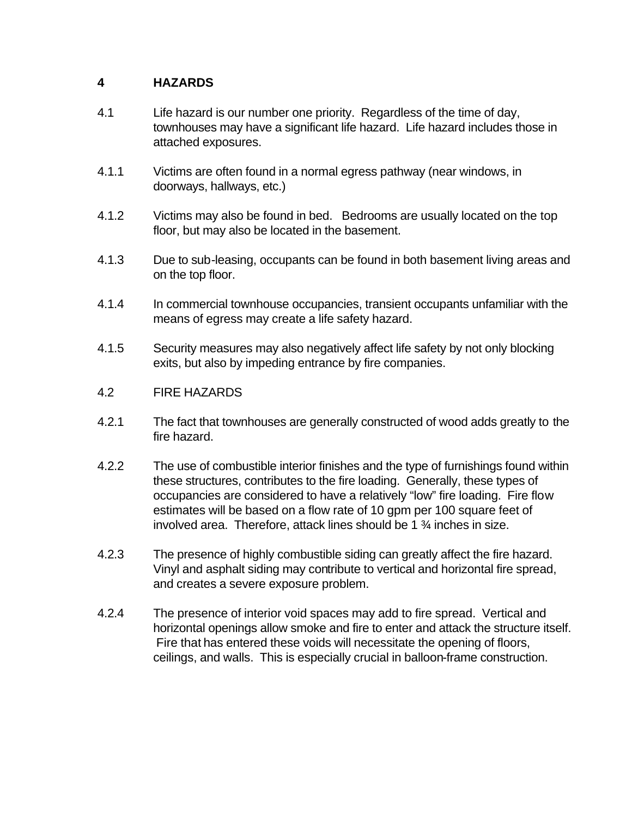# **4 HAZARDS**

- 4.1 Life hazard is our number one priority. Regardless of the time of day, townhouses may have a significant life hazard. Life hazard includes those in attached exposures.
- 4.1.1 Victims are often found in a normal egress pathway (near windows, in doorways, hallways, etc.)
- 4.1.2 Victims may also be found in bed. Bedrooms are usually located on the top floor, but may also be located in the basement.
- 4.1.3 Due to sub-leasing, occupants can be found in both basement living areas and on the top floor.
- 4.1.4 In commercial townhouse occupancies, transient occupants unfamiliar with the means of egress may create a life safety hazard.
- 4.1.5 Security measures may also negatively affect life safety by not only blocking exits, but also by impeding entrance by fire companies.
- 4.2 FIRE HAZARDS
- 4.2.1 The fact that townhouses are generally constructed of wood adds greatly to the fire hazard.
- 4.2.2 The use of combustible interior finishes and the type of furnishings found within these structures, contributes to the fire loading. Generally, these types of occupancies are considered to have a relatively "low" fire loading. Fire flow estimates will be based on a flow rate of 10 gpm per 100 square feet of involved area. Therefore, attack lines should be 1 ¾ inches in size.
- 4.2.3 The presence of highly combustible siding can greatly affect the fire hazard. Vinyl and asphalt siding may contribute to vertical and horizontal fire spread, and creates a severe exposure problem.
- 4.2.4 The presence of interior void spaces may add to fire spread. Vertical and horizontal openings allow smoke and fire to enter and attack the structure itself. Fire that has entered these voids will necessitate the opening of floors, ceilings, and walls. This is especially crucial in balloon-frame construction.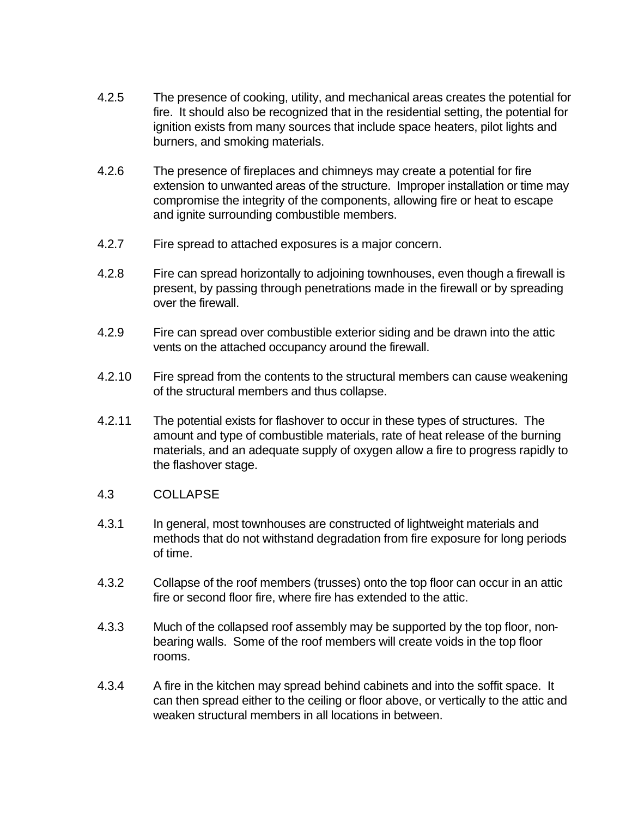- 4.2.5 The presence of cooking, utility, and mechanical areas creates the potential for fire. It should also be recognized that in the residential setting, the potential for ignition exists from many sources that include space heaters, pilot lights and burners, and smoking materials.
- 4.2.6 The presence of fireplaces and chimneys may create a potential for fire extension to unwanted areas of the structure. Improper installation or time may compromise the integrity of the components, allowing fire or heat to escape and ignite surrounding combustible members.
- 4.2.7 Fire spread to attached exposures is a major concern.
- 4.2.8 Fire can spread horizontally to adjoining townhouses, even though a firewall is present, by passing through penetrations made in the firewall or by spreading over the firewall.
- 4.2.9 Fire can spread over combustible exterior siding and be drawn into the attic vents on the attached occupancy around the firewall.
- 4.2.10 Fire spread from the contents to the structural members can cause weakening of the structural members and thus collapse.
- 4.2.11 The potential exists for flashover to occur in these types of structures. The amount and type of combustible materials, rate of heat release of the burning materials, and an adequate supply of oxygen allow a fire to progress rapidly to the flashover stage.
- 4.3 COLLAPSE
- 4.3.1 In general, most townhouses are constructed of lightweight materials and methods that do not withstand degradation from fire exposure for long periods of time.
- 4.3.2 Collapse of the roof members (trusses) onto the top floor can occur in an attic fire or second floor fire, where fire has extended to the attic.
- 4.3.3 Much of the collapsed roof assembly may be supported by the top floor, nonbearing walls. Some of the roof members will create voids in the top floor rooms.
- 4.3.4 A fire in the kitchen may spread behind cabinets and into the soffit space. It can then spread either to the ceiling or floor above, or vertically to the attic and weaken structural members in all locations in between.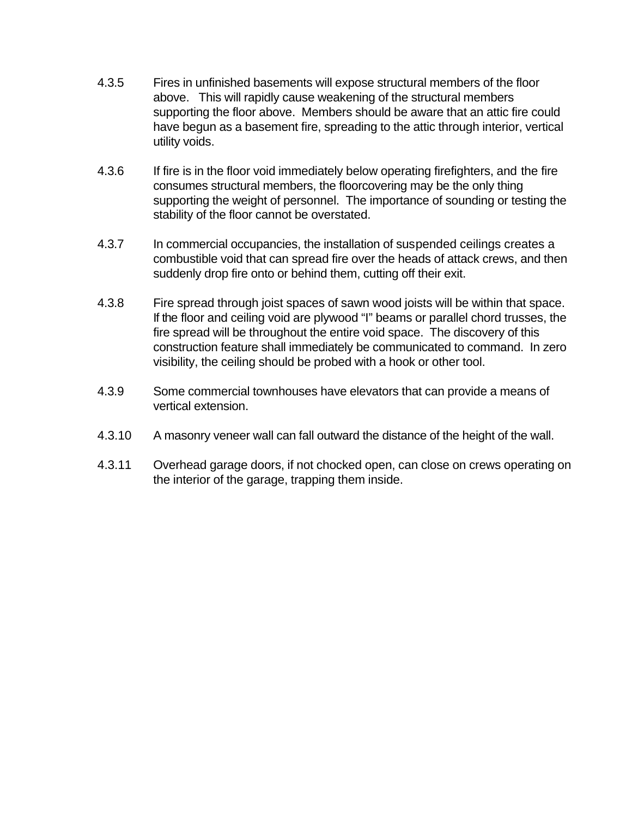- 4.3.5 Fires in unfinished basements will expose structural members of the floor above. This will rapidly cause weakening of the structural members supporting the floor above. Members should be aware that an attic fire could have begun as a basement fire, spreading to the attic through interior, vertical utility voids.
- 4.3.6 If fire is in the floor void immediately below operating firefighters, and the fire consumes structural members, the floorcovering may be the only thing supporting the weight of personnel. The importance of sounding or testing the stability of the floor cannot be overstated.
- 4.3.7 In commercial occupancies, the installation of suspended ceilings creates a combustible void that can spread fire over the heads of attack crews, and then suddenly drop fire onto or behind them, cutting off their exit.
- 4.3.8 Fire spread through joist spaces of sawn wood joists will be within that space. If the floor and ceiling void are plywood "I" beams or parallel chord trusses, the fire spread will be throughout the entire void space. The discovery of this construction feature shall immediately be communicated to command. In zero visibility, the ceiling should be probed with a hook or other tool.
- 4.3.9 Some commercial townhouses have elevators that can provide a means of vertical extension.
- 4.3.10 A masonry veneer wall can fall outward the distance of the height of the wall.
- 4.3.11 Overhead garage doors, if not chocked open, can close on crews operating on the interior of the garage, trapping them inside.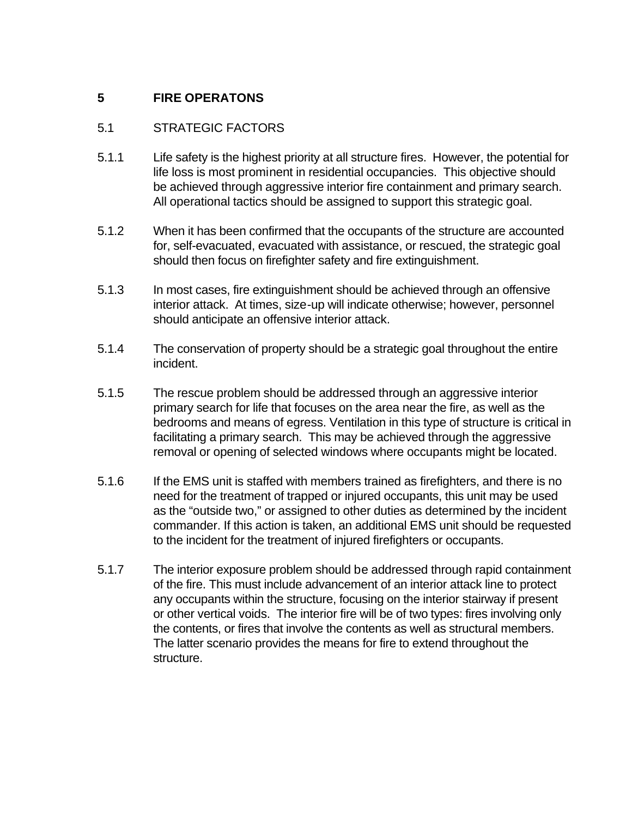# **5 FIRE OPERATONS**

# 5.1 STRATEGIC FACTORS

- 5.1.1 Life safety is the highest priority at all structure fires. However, the potential for life loss is most prominent in residential occupancies. This objective should be achieved through aggressive interior fire containment and primary search. All operational tactics should be assigned to support this strategic goal.
- 5.1.2 When it has been confirmed that the occupants of the structure are accounted for, self-evacuated, evacuated with assistance, or rescued, the strategic goal should then focus on firefighter safety and fire extinguishment.
- 5.1.3 In most cases, fire extinguishment should be achieved through an offensive interior attack. At times, size-up will indicate otherwise; however, personnel should anticipate an offensive interior attack.
- 5.1.4 The conservation of property should be a strategic goal throughout the entire incident.
- 5.1.5 The rescue problem should be addressed through an aggressive interior primary search for life that focuses on the area near the fire, as well as the bedrooms and means of egress. Ventilation in this type of structure is critical in facilitating a primary search. This may be achieved through the aggressive removal or opening of selected windows where occupants might be located.
- 5.1.6 If the EMS unit is staffed with members trained as firefighters, and there is no need for the treatment of trapped or injured occupants, this unit may be used as the "outside two," or assigned to other duties as determined by the incident commander. If this action is taken, an additional EMS unit should be requested to the incident for the treatment of injured firefighters or occupants.
- 5.1.7 The interior exposure problem should be addressed through rapid containment of the fire. This must include advancement of an interior attack line to protect any occupants within the structure, focusing on the interior stairway if present or other vertical voids. The interior fire will be of two types: fires involving only the contents, or fires that involve the contents as well as structural members. The latter scenario provides the means for fire to extend throughout the structure.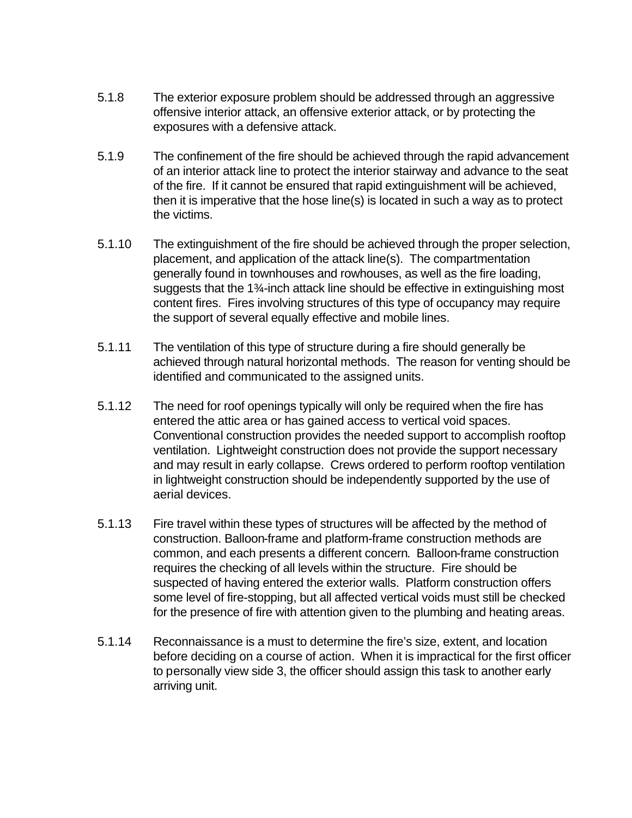- 5.1.8 The exterior exposure problem should be addressed through an aggressive offensive interior attack, an offensive exterior attack, or by protecting the exposures with a defensive attack.
- 5.1.9 The confinement of the fire should be achieved through the rapid advancement of an interior attack line to protect the interior stairway and advance to the seat of the fire. If it cannot be ensured that rapid extinguishment will be achieved, then it is imperative that the hose line(s) is located in such a way as to protect the victims.
- 5.1.10 The extinguishment of the fire should be achieved through the proper selection, placement, and application of the attack line(s). The compartmentation generally found in townhouses and rowhouses, as well as the fire loading, suggests that the 1¾-inch attack line should be effective in extinguishing most content fires. Fires involving structures of this type of occupancy may require the support of several equally effective and mobile lines.
- 5.1.11 The ventilation of this type of structure during a fire should generally be achieved through natural horizontal methods. The reason for venting should be identified and communicated to the assigned units.
- 5.1.12 The need for roof openings typically will only be required when the fire has entered the attic area or has gained access to vertical void spaces. Conventional construction provides the needed support to accomplish rooftop ventilation. Lightweight construction does not provide the support necessary and may result in early collapse. Crews ordered to perform rooftop ventilation in lightweight construction should be independently supported by the use of aerial devices.
- 5.1.13 Fire travel within these types of structures will be affected by the method of construction. Balloon-frame and platform-frame construction methods are common, and each presents a different concern. Balloon-frame construction requires the checking of all levels within the structure. Fire should be suspected of having entered the exterior walls. Platform construction offers some level of fire-stopping, but all affected vertical voids must still be checked for the presence of fire with attention given to the plumbing and heating areas.
- 5.1.14 Reconnaissance is a must to determine the fire's size, extent, and location before deciding on a course of action. When it is impractical for the first officer to personally view side 3, the officer should assign this task to another early arriving unit.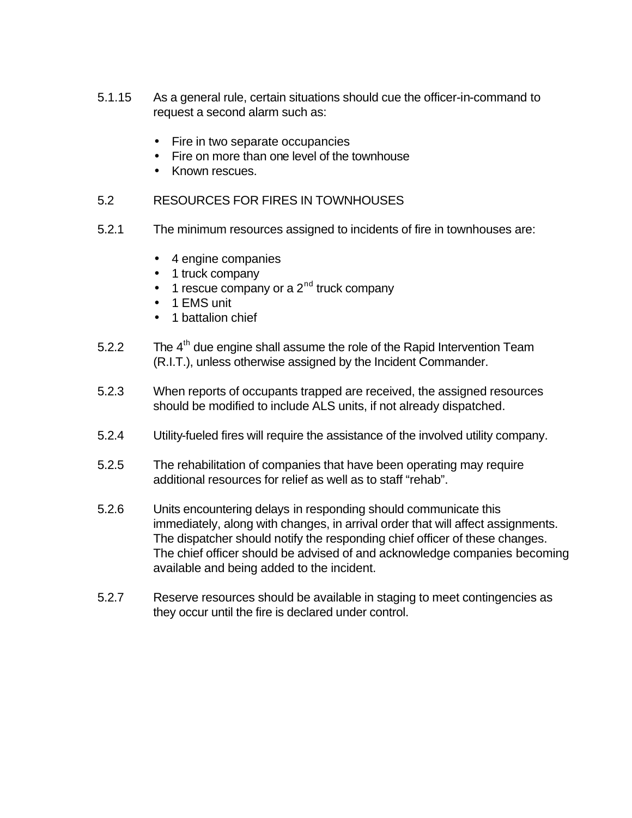- 5.1.15 As a general rule, certain situations should cue the officer-in-command to request a second alarm such as:
	- Fire in two separate occupancies
	- Fire on more than one level of the townhouse
	- Known rescues.
- 5.2 RESOURCES FOR FIRES IN TOWNHOUSES
- 5.2.1 The minimum resources assigned to incidents of fire in townhouses are:
	- 4 engine companies
	- 1 truck company
	- $\bullet$  1 rescue company or a 2<sup>nd</sup> truck company
	- 1 EMS unit
	- 1 battalion chief
- 5.2.2 The  $4<sup>th</sup>$  due engine shall assume the role of the Rapid Intervention Team (R.I.T.), unless otherwise assigned by the Incident Commander.
- 5.2.3 When reports of occupants trapped are received, the assigned resources should be modified to include ALS units, if not already dispatched.
- 5.2.4 Utility-fueled fires will require the assistance of the involved utility company.
- 5.2.5 The rehabilitation of companies that have been operating may require additional resources for relief as well as to staff "rehab".
- 5.2.6 Units encountering delays in responding should communicate this immediately, along with changes, in arrival order that will affect assignments. The dispatcher should notify the responding chief officer of these changes. The chief officer should be advised of and acknowledge companies becoming available and being added to the incident.
- 5.2.7 Reserve resources should be available in staging to meet contingencies as they occur until the fire is declared under control.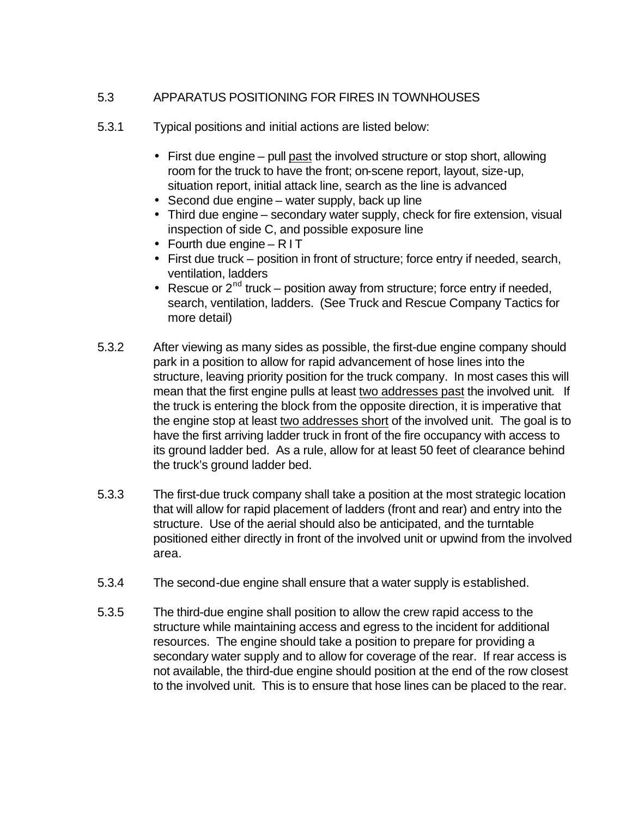# 5.3 APPARATUS POSITIONING FOR FIRES IN TOWNHOUSES

- 5.3.1 Typical positions and initial actions are listed below:
	- First due engine pull past the involved structure or stop short, allowing room for the truck to have the front; on-scene report, layout, size-up, situation report, initial attack line, search as the line is advanced
	- Second due engine water supply, back up line
	- Third due engine secondary water supply, check for fire extension, visual inspection of side C, and possible exposure line
	- Fourth due engine RIT
	- First due truck position in front of structure; force entry if needed, search, ventilation, ladders
	- Rescue or  $2^{nd}$  truck position away from structure; force entry if needed, search, ventilation, ladders. (See Truck and Rescue Company Tactics for more detail)
- 5.3.2 After viewing as many sides as possible, the first-due engine company should park in a position to allow for rapid advancement of hose lines into the structure, leaving priority position for the truck company. In most cases this will mean that the first engine pulls at least two addresses past the involved unit. If the truck is entering the block from the opposite direction, it is imperative that the engine stop at least two addresses short of the involved unit. The goal is to have the first arriving ladder truck in front of the fire occupancy with access to its ground ladder bed. As a rule, allow for at least 50 feet of clearance behind the truck's ground ladder bed.
- 5.3.3 The first-due truck company shall take a position at the most strategic location that will allow for rapid placement of ladders (front and rear) and entry into the structure. Use of the aerial should also be anticipated, and the turntable positioned either directly in front of the involved unit or upwind from the involved area.
- 5.3.4 The second-due engine shall ensure that a water supply is established.
- 5.3.5 The third-due engine shall position to allow the crew rapid access to the structure while maintaining access and egress to the incident for additional resources. The engine should take a position to prepare for providing a secondary water supply and to allow for coverage of the rear. If rear access is not available, the third-due engine should position at the end of the row closest to the involved unit. This is to ensure that hose lines can be placed to the rear.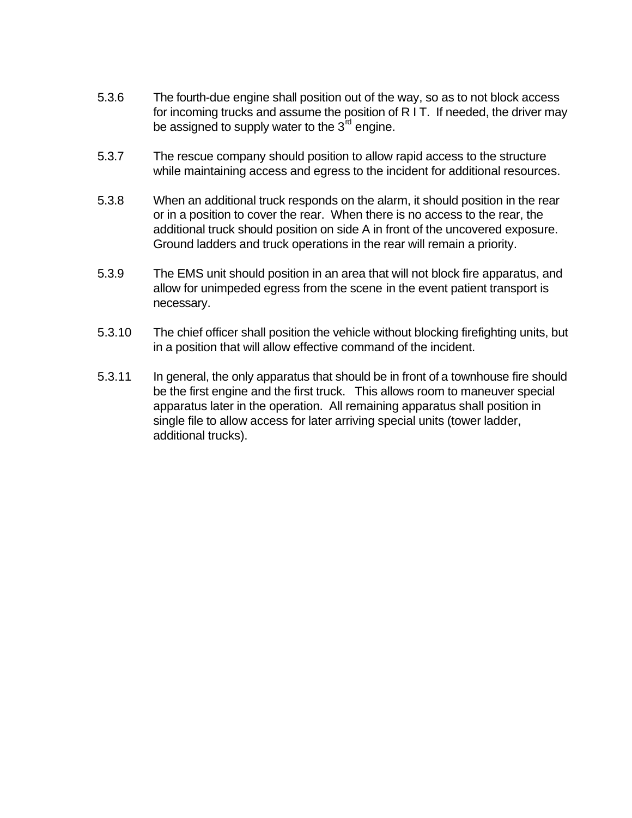- 5.3.6 The fourth-due engine shall position out of the way, so as to not block access for incoming trucks and assume the position of R I T. If needed, the driver may be assigned to supply water to the  $3^{\text{rd}}$  engine.
- 5.3.7 The rescue company should position to allow rapid access to the structure while maintaining access and egress to the incident for additional resources.
- 5.3.8 When an additional truck responds on the alarm, it should position in the rear or in a position to cover the rear. When there is no access to the rear, the additional truck should position on side A in front of the uncovered exposure. Ground ladders and truck operations in the rear will remain a priority.
- 5.3.9 The EMS unit should position in an area that will not block fire apparatus, and allow for unimpeded egress from the scene in the event patient transport is necessary.
- 5.3.10 The chief officer shall position the vehicle without blocking firefighting units, but in a position that will allow effective command of the incident.
- 5.3.11 In general, the only apparatus that should be in front of a townhouse fire should be the first engine and the first truck. This allows room to maneuver special apparatus later in the operation. All remaining apparatus shall position in single file to allow access for later arriving special units (tower ladder, additional trucks).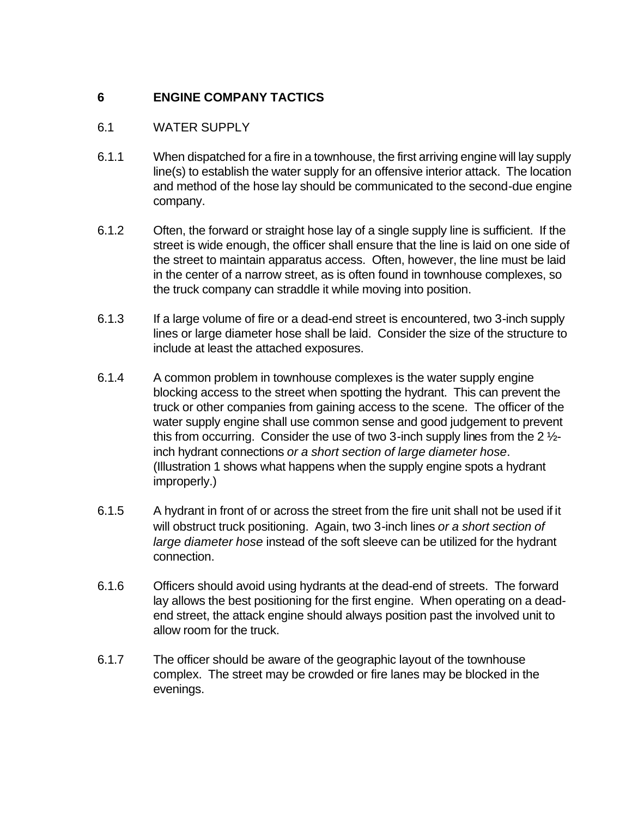# **6 ENGINE COMPANY TACTICS**

# 6.1 WATER SUPPLY

- 6.1.1 When dispatched for a fire in a townhouse, the first arriving engine will lay supply line(s) to establish the water supply for an offensive interior attack. The location and method of the hose lay should be communicated to the second-due engine company.
- 6.1.2 Often, the forward or straight hose lay of a single supply line is sufficient. If the street is wide enough, the officer shall ensure that the line is laid on one side of the street to maintain apparatus access. Often, however, the line must be laid in the center of a narrow street, as is often found in townhouse complexes, so the truck company can straddle it while moving into position.
- 6.1.3 If a large volume of fire or a dead-end street is encountered, two 3-inch supply lines or large diameter hose shall be laid. Consider the size of the structure to include at least the attached exposures.
- 6.1.4 A common problem in townhouse complexes is the water supply engine blocking access to the street when spotting the hydrant. This can prevent the truck or other companies from gaining access to the scene. The officer of the water supply engine shall use common sense and good judgement to prevent this from occurring. Consider the use of two 3-inch supply lines from the 2 ½ inch hydrant connections *or a short section of large diameter hose*. (Illustration 1 shows what happens when the supply engine spots a hydrant improperly.)
- 6.1.5 A hydrant in front of or across the street from the fire unit shall not be used if it will obstruct truck positioning. Again, two 3-inch lines *or a short section of large diameter hose* instead of the soft sleeve can be utilized for the hydrant connection.
- 6.1.6 Officers should avoid using hydrants at the dead-end of streets. The forward lay allows the best positioning for the first engine. When operating on a deadend street, the attack engine should always position past the involved unit to allow room for the truck.
- 6.1.7 The officer should be aware of the geographic layout of the townhouse complex. The street may be crowded or fire lanes may be blocked in the evenings.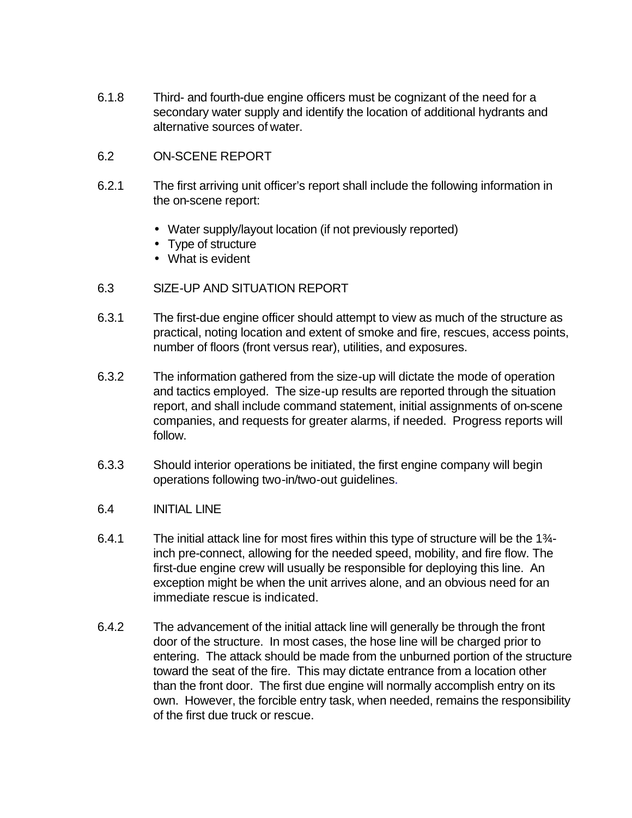- 6.1.8 Third- and fourth-due engine officers must be cognizant of the need for a secondary water supply and identify the location of additional hydrants and alternative sources of water.
- 6.2 ON-SCENE REPORT
- 6.2.1 The first arriving unit officer's report shall include the following information in the on-scene report:
	- Water supply/layout location (if not previously reported)
	- Type of structure
	- What is evident

#### 6.3 SIZE-UP AND SITUATION REPORT

- 6.3.1 The first-due engine officer should attempt to view as much of the structure as practical, noting location and extent of smoke and fire, rescues, access points, number of floors (front versus rear), utilities, and exposures.
- 6.3.2 The information gathered from the size-up will dictate the mode of operation and tactics employed. The size-up results are reported through the situation report, and shall include command statement, initial assignments of on-scene companies, and requests for greater alarms, if needed. Progress reports will follow.
- 6.3.3 Should interior operations be initiated, the first engine company will begin operations following two-in/two-out guidelines.
- 6.4 INITIAL LINE
- 6.4.1 The initial attack line for most fires within this type of structure will be the 1<sup>3</sup>/<sub>4</sub>inch pre-connect, allowing for the needed speed, mobility, and fire flow. The first-due engine crew will usually be responsible for deploying this line. An exception might be when the unit arrives alone, and an obvious need for an immediate rescue is indicated.
- 6.4.2 The advancement of the initial attack line will generally be through the front door of the structure. In most cases, the hose line will be charged prior to entering. The attack should be made from the unburned portion of the structure toward the seat of the fire. This may dictate entrance from a location other than the front door. The first due engine will normally accomplish entry on its own. However, the forcible entry task, when needed, remains the responsibility of the first due truck or rescue.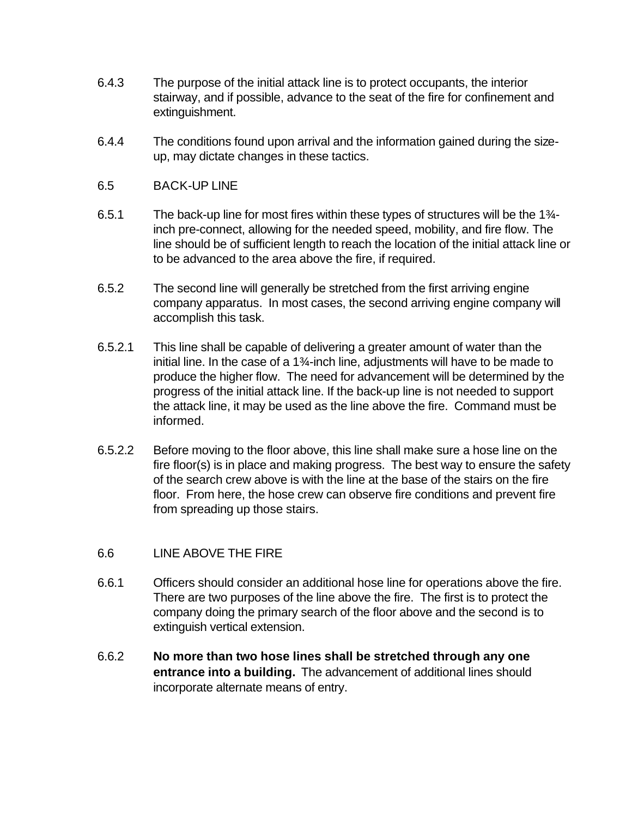- 6.4.3 The purpose of the initial attack line is to protect occupants, the interior stairway, and if possible, advance to the seat of the fire for confinement and extinguishment.
- 6.4.4 The conditions found upon arrival and the information gained during the sizeup, may dictate changes in these tactics.
- 6.5 BACK-UP LINE
- 6.5.1 The back-up line for most fires within these types of structures will be the  $1\frac{3}{4}$ inch pre-connect, allowing for the needed speed, mobility, and fire flow. The line should be of sufficient length to reach the location of the initial attack line or to be advanced to the area above the fire, if required.
- 6.5.2 The second line will generally be stretched from the first arriving engine company apparatus. In most cases, the second arriving engine company will accomplish this task.
- 6.5.2.1 This line shall be capable of delivering a greater amount of water than the initial line. In the case of a 1¾-inch line, adjustments will have to be made to produce the higher flow. The need for advancement will be determined by the progress of the initial attack line. If the back-up line is not needed to support the attack line, it may be used as the line above the fire. Command must be informed.
- 6.5.2.2 Before moving to the floor above, this line shall make sure a hose line on the fire floor(s) is in place and making progress. The best way to ensure the safety of the search crew above is with the line at the base of the stairs on the fire floor. From here, the hose crew can observe fire conditions and prevent fire from spreading up those stairs.
- 6.6 LINE ABOVE THE FIRE
- 6.6.1 Officers should consider an additional hose line for operations above the fire. There are two purposes of the line above the fire. The first is to protect the company doing the primary search of the floor above and the second is to extinguish vertical extension.
- 6.6.2 **No more than two hose lines shall be stretched through any one entrance into a building.** The advancement of additional lines should incorporate alternate means of entry.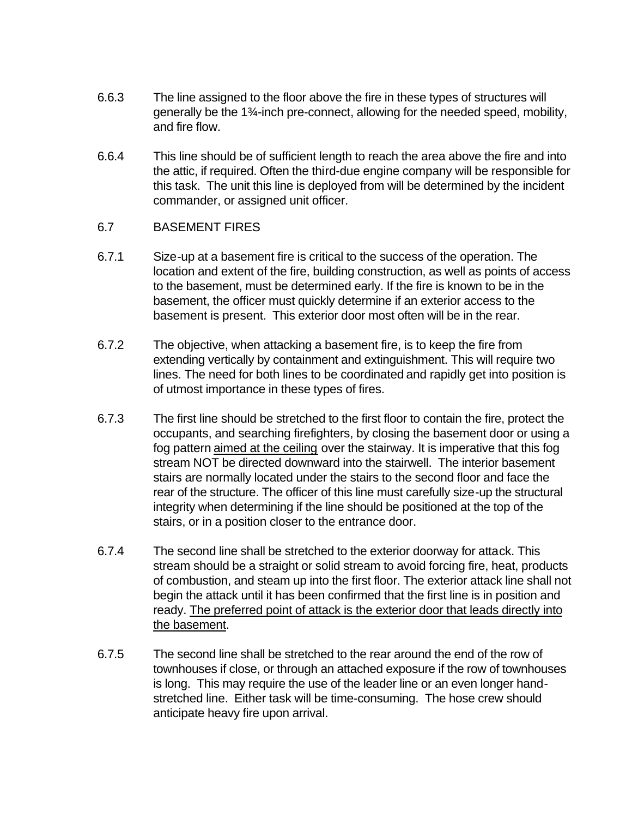- 6.6.3 The line assigned to the floor above the fire in these types of structures will generally be the 1¾-inch pre-connect, allowing for the needed speed, mobility, and fire flow.
- 6.6.4 This line should be of sufficient length to reach the area above the fire and into the attic, if required. Often the third-due engine company will be responsible for this task. The unit this line is deployed from will be determined by the incident commander, or assigned unit officer.

#### 6.7 BASEMENT FIRES

- 6.7.1 Size-up at a basement fire is critical to the success of the operation. The location and extent of the fire, building construction, as well as points of access to the basement, must be determined early. If the fire is known to be in the basement, the officer must quickly determine if an exterior access to the basement is present. This exterior door most often will be in the rear.
- 6.7.2 The objective, when attacking a basement fire, is to keep the fire from extending vertically by containment and extinguishment. This will require two lines. The need for both lines to be coordinated and rapidly get into position is of utmost importance in these types of fires.
- 6.7.3 The first line should be stretched to the first floor to contain the fire, protect the occupants, and searching firefighters, by closing the basement door or using a fog pattern aimed at the ceiling over the stairway. It is imperative that this fog stream NOT be directed downward into the stairwell. The interior basement stairs are normally located under the stairs to the second floor and face the rear of the structure. The officer of this line must carefully size-up the structural integrity when determining if the line should be positioned at the top of the stairs, or in a position closer to the entrance door.
- 6.7.4 The second line shall be stretched to the exterior doorway for attack. This stream should be a straight or solid stream to avoid forcing fire, heat, products of combustion, and steam up into the first floor. The exterior attack line shall not begin the attack until it has been confirmed that the first line is in position and ready. The preferred point of attack is the exterior door that leads directly into the basement.
- 6.7.5 The second line shall be stretched to the rear around the end of the row of townhouses if close, or through an attached exposure if the row of townhouses is long. This may require the use of the leader line or an even longer handstretched line. Either task will be time-consuming. The hose crew should anticipate heavy fire upon arrival.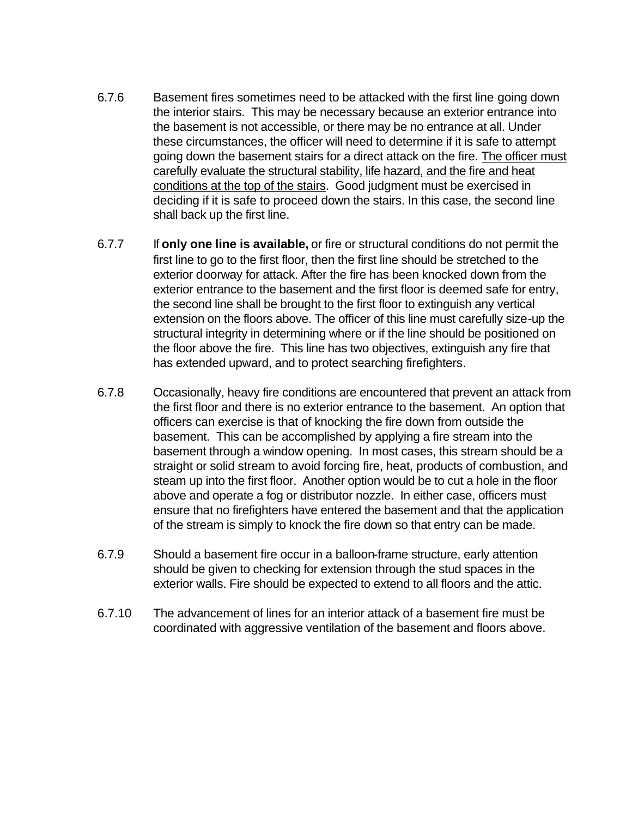- 6.7.6 Basement fires sometimes need to be attacked with the first line going down the interior stairs. This may be necessary because an exterior entrance into the basement is not accessible, or there may be no entrance at all. Under these circumstances, the officer will need to determine if it is safe to attempt going down the basement stairs for a direct attack on the fire. The officer must carefully evaluate the structural stability, life hazard, and the fire and heat conditions at the top of the stairs. Good judgment must be exercised in deciding if it is safe to proceed down the stairs. In this case, the second line shall back up the first line.
- 6.7.7 If **only one line is available,** or fire or structural conditions do not permit the first line to go to the first floor, then the first line should be stretched to the exterior doorway for attack. After the fire has been knocked down from the exterior entrance to the basement and the first floor is deemed safe for entry, the second line shall be brought to the first floor to extinguish any vertical extension on the floors above. The officer of this line must carefully size-up the structural integrity in determining where or if the line should be positioned on the floor above the fire. This line has two objectives, extinguish any fire that has extended upward, and to protect searching firefighters.
- 6.7.8 Occasionally, heavy fire conditions are encountered that prevent an attack from the first floor and there is no exterior entrance to the basement. An option that officers can exercise is that of knocking the fire down from outside the basement. This can be accomplished by applying a fire stream into the basement through a window opening. In most cases, this stream should be a straight or solid stream to avoid forcing fire, heat, products of combustion, and steam up into the first floor. Another option would be to cut a hole in the floor above and operate a fog or distributor nozzle. In either case, officers must ensure that no firefighters have entered the basement and that the application of the stream is simply to knock the fire down so that entry can be made.
- 6.7.9 Should a basement fire occur in a balloon-frame structure, early attention should be given to checking for extension through the stud spaces in the exterior walls. Fire should be expected to extend to all floors and the attic.
- 6.7.10 The advancement of lines for an interior attack of a basement fire must be coordinated with aggressive ventilation of the basement and floors above.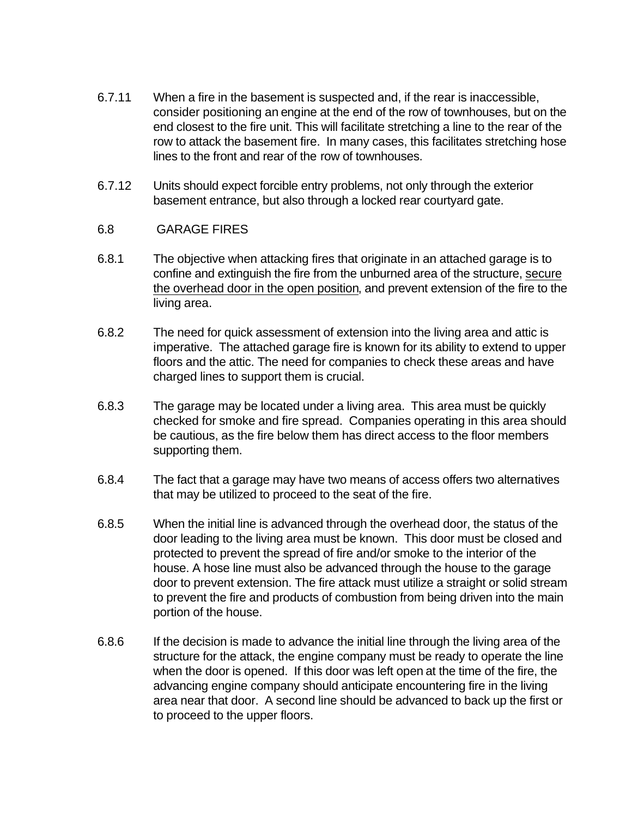- 6.7.11 When a fire in the basement is suspected and, if the rear is inaccessible, consider positioning an engine at the end of the row of townhouses, but on the end closest to the fire unit. This will facilitate stretching a line to the rear of the row to attack the basement fire. In many cases, this facilitates stretching hose lines to the front and rear of the row of townhouses.
- 6.7.12 Units should expect forcible entry problems, not only through the exterior basement entrance, but also through a locked rear courtyard gate.

## 6.8 GARAGE FIRES

- 6.8.1 The objective when attacking fires that originate in an attached garage is to confine and extinguish the fire from the unburned area of the structure, secure the overhead door in the open position, and prevent extension of the fire to the living area.
- 6.8.2 The need for quick assessment of extension into the living area and attic is imperative. The attached garage fire is known for its ability to extend to upper floors and the attic. The need for companies to check these areas and have charged lines to support them is crucial.
- 6.8.3 The garage may be located under a living area. This area must be quickly checked for smoke and fire spread. Companies operating in this area should be cautious, as the fire below them has direct access to the floor members supporting them.
- 6.8.4 The fact that a garage may have two means of access offers two alternatives that may be utilized to proceed to the seat of the fire.
- 6.8.5 When the initial line is advanced through the overhead door, the status of the door leading to the living area must be known. This door must be closed and protected to prevent the spread of fire and/or smoke to the interior of the house. A hose line must also be advanced through the house to the garage door to prevent extension. The fire attack must utilize a straight or solid stream to prevent the fire and products of combustion from being driven into the main portion of the house.
- 6.8.6 If the decision is made to advance the initial line through the living area of the structure for the attack, the engine company must be ready to operate the line when the door is opened. If this door was left open at the time of the fire, the advancing engine company should anticipate encountering fire in the living area near that door. A second line should be advanced to back up the first or to proceed to the upper floors.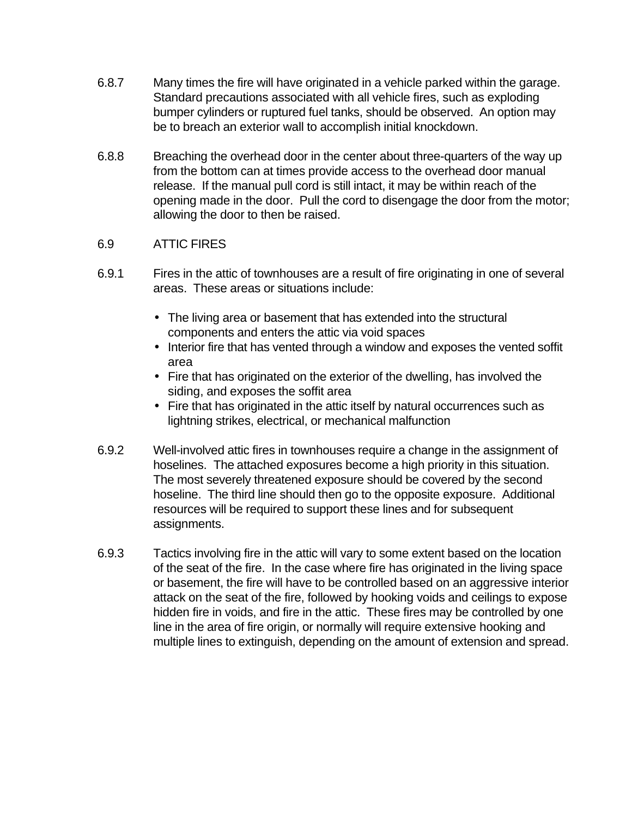- 6.8.7 Many times the fire will have originated in a vehicle parked within the garage. Standard precautions associated with all vehicle fires, such as exploding bumper cylinders or ruptured fuel tanks, should be observed. An option may be to breach an exterior wall to accomplish initial knockdown.
- 6.8.8 Breaching the overhead door in the center about three-quarters of the way up from the bottom can at times provide access to the overhead door manual release. If the manual pull cord is still intact, it may be within reach of the opening made in the door. Pull the cord to disengage the door from the motor; allowing the door to then be raised.

## 6.9 ATTIC FIRES

- 6.9.1 Fires in the attic of townhouses are a result of fire originating in one of several areas. These areas or situations include:
	- The living area or basement that has extended into the structural components and enters the attic via void spaces
	- Interior fire that has vented through a window and exposes the vented soffit area
	- Fire that has originated on the exterior of the dwelling, has involved the siding, and exposes the soffit area
	- Fire that has originated in the attic itself by natural occurrences such as lightning strikes, electrical, or mechanical malfunction
- 6.9.2 Well-involved attic fires in townhouses require a change in the assignment of hoselines. The attached exposures become a high priority in this situation. The most severely threatened exposure should be covered by the second hoseline. The third line should then go to the opposite exposure. Additional resources will be required to support these lines and for subsequent assignments.
- 6.9.3 Tactics involving fire in the attic will vary to some extent based on the location of the seat of the fire. In the case where fire has originated in the living space or basement, the fire will have to be controlled based on an aggressive interior attack on the seat of the fire, followed by hooking voids and ceilings to expose hidden fire in voids, and fire in the attic. These fires may be controlled by one line in the area of fire origin, or normally will require extensive hooking and multiple lines to extinguish, depending on the amount of extension and spread.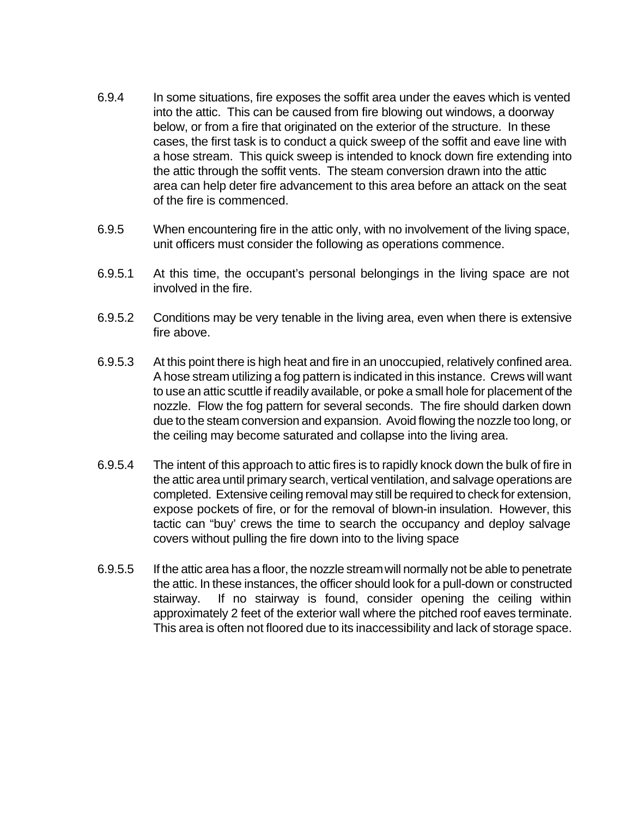- 6.9.4 In some situations, fire exposes the soffit area under the eaves which is vented into the attic. This can be caused from fire blowing out windows, a doorway below, or from a fire that originated on the exterior of the structure. In these cases, the first task is to conduct a quick sweep of the soffit and eave line with a hose stream. This quick sweep is intended to knock down fire extending into the attic through the soffit vents. The steam conversion drawn into the attic area can help deter fire advancement to this area before an attack on the seat of the fire is commenced.
- 6.9.5 When encountering fire in the attic only, with no involvement of the living space, unit officers must consider the following as operations commence.
- 6.9.5.1 At this time, the occupant's personal belongings in the living space are not involved in the fire.
- 6.9.5.2 Conditions may be very tenable in the living area, even when there is extensive fire above.
- 6.9.5.3 At this point there is high heat and fire in an unoccupied, relatively confined area. A hose stream utilizing a fog pattern is indicated in this instance. Crews will want to use an attic scuttle if readily available, or poke a small hole for placement of the nozzle. Flow the fog pattern for several seconds. The fire should darken down due to the steam conversion and expansion. Avoid flowing the nozzle too long, or the ceiling may become saturated and collapse into the living area.
- 6.9.5.4 The intent of this approach to attic fires is to rapidly knock down the bulk of fire in the attic area until primary search, vertical ventilation, and salvage operations are completed. Extensive ceiling removal may still be required to check for extension, expose pockets of fire, or for the removal of blown-in insulation. However, this tactic can "buy' crews the time to search the occupancy and deploy salvage covers without pulling the fire down into to the living space
- 6.9.5.5 If the attic area has a floor, the nozzle stream will normally not be able to penetrate the attic. In these instances, the officer should look for a pull-down or constructed stairway. If no stairway is found, consider opening the ceiling within approximately 2 feet of the exterior wall where the pitched roof eaves terminate. This area is often not floored due to its inaccessibility and lack of storage space.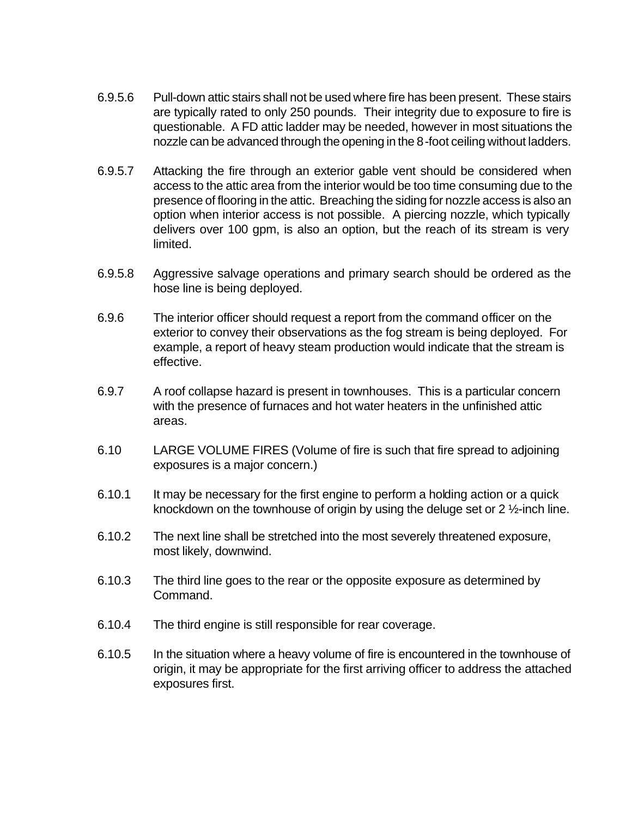- 6.9.5.6 Pull-down attic stairs shall not be used where fire has been present. These stairs are typically rated to only 250 pounds. Their integrity due to exposure to fire is questionable. A FD attic ladder may be needed, however in most situations the nozzle can be advanced through the opening in the 8-foot ceiling without ladders.
- 6.9.5.7 Attacking the fire through an exterior gable vent should be considered when access to the attic area from the interior would be too time consuming due to the presence of flooring in the attic. Breaching the siding for nozzle access is also an option when interior access is not possible. A piercing nozzle, which typically delivers over 100 gpm, is also an option, but the reach of its stream is very limited.
- 6.9.5.8 Aggressive salvage operations and primary search should be ordered as the hose line is being deployed.
- 6.9.6 The interior officer should request a report from the command officer on the exterior to convey their observations as the fog stream is being deployed. For example, a report of heavy steam production would indicate that the stream is effective.
- 6.9.7 A roof collapse hazard is present in townhouses. This is a particular concern with the presence of furnaces and hot water heaters in the unfinished attic areas.
- 6.10 LARGE VOLUME FIRES (Volume of fire is such that fire spread to adjoining exposures is a major concern.)
- 6.10.1 It may be necessary for the first engine to perform a holding action or a quick knockdown on the townhouse of origin by using the deluge set or 2 ½-inch line.
- 6.10.2 The next line shall be stretched into the most severely threatened exposure, most likely, downwind.
- 6.10.3 The third line goes to the rear or the opposite exposure as determined by Command.
- 6.10.4 The third engine is still responsible for rear coverage.
- 6.10.5 In the situation where a heavy volume of fire is encountered in the townhouse of origin, it may be appropriate for the first arriving officer to address the attached exposures first.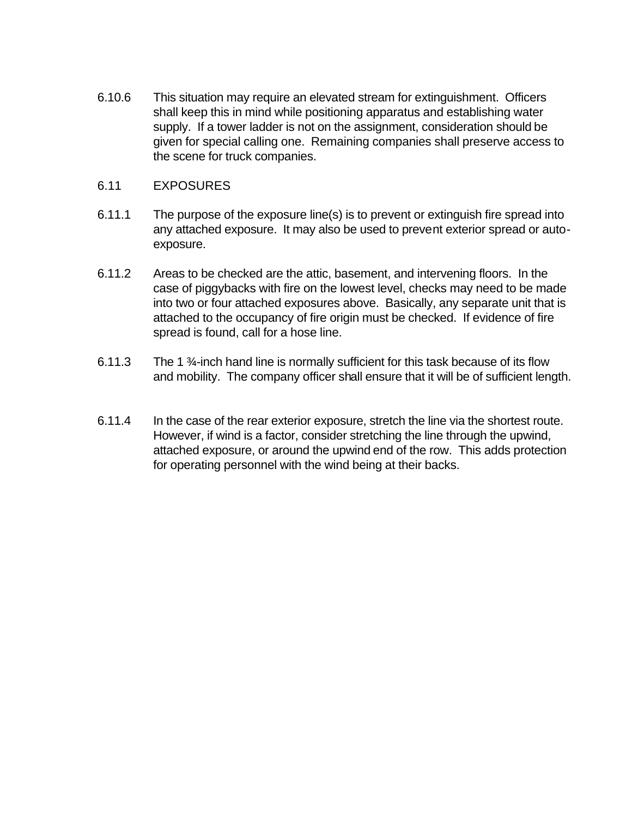6.10.6 This situation may require an elevated stream for extinguishment. Officers shall keep this in mind while positioning apparatus and establishing water supply. If a tower ladder is not on the assignment, consideration should be given for special calling one. Remaining companies shall preserve access to the scene for truck companies.

#### 6.11 EXPOSURES

- 6.11.1 The purpose of the exposure line(s) is to prevent or extinguish fire spread into any attached exposure. It may also be used to prevent exterior spread or autoexposure.
- 6.11.2 Areas to be checked are the attic, basement, and intervening floors. In the case of piggybacks with fire on the lowest level, checks may need to be made into two or four attached exposures above. Basically, any separate unit that is attached to the occupancy of fire origin must be checked. If evidence of fire spread is found, call for a hose line.
- 6.11.3 The 1 ¾-inch hand line is normally sufficient for this task because of its flow and mobility. The company officer shall ensure that it will be of sufficient length.
- 6.11.4 In the case of the rear exterior exposure, stretch the line via the shortest route. However, if wind is a factor, consider stretching the line through the upwind, attached exposure, or around the upwind end of the row. This adds protection for operating personnel with the wind being at their backs.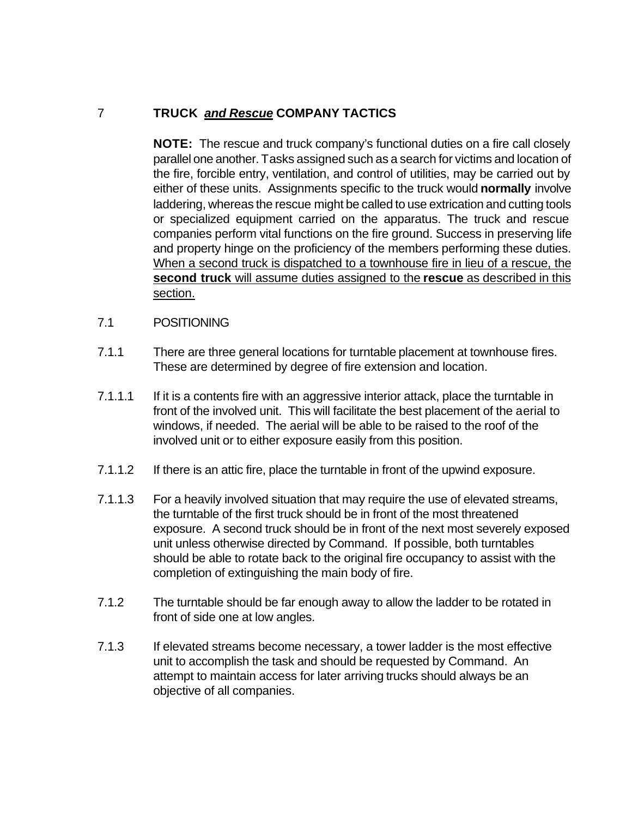# 7 **TRUCK** *and Rescue* **COMPANY TACTICS**

**NOTE:** The rescue and truck company's functional duties on a fire call closely parallel one another. Tasks assigned such as a search for victims and location of the fire, forcible entry, ventilation, and control of utilities, may be carried out by either of these units. Assignments specific to the truck would **normally** involve laddering, whereas the rescue might be called to use extrication and cutting tools or specialized equipment carried on the apparatus. The truck and rescue companies perform vital functions on the fire ground. Success in preserving life and property hinge on the proficiency of the members performing these duties. When a second truck is dispatched to a townhouse fire in lieu of a rescue, the **second truck** will assume duties assigned to the **rescue** as described in this section.

- 7.1 POSITIONING
- 7.1.1 There are three general locations for turntable placement at townhouse fires. These are determined by degree of fire extension and location.
- 7.1.1.1 If it is a contents fire with an aggressive interior attack, place the turntable in front of the involved unit. This will facilitate the best placement of the aerial to windows, if needed. The aerial will be able to be raised to the roof of the involved unit or to either exposure easily from this position.
- 7.1.1.2 If there is an attic fire, place the turntable in front of the upwind exposure.
- 7.1.1.3 For a heavily involved situation that may require the use of elevated streams, the turntable of the first truck should be in front of the most threatened exposure. A second truck should be in front of the next most severely exposed unit unless otherwise directed by Command. If possible, both turntables should be able to rotate back to the original fire occupancy to assist with the completion of extinguishing the main body of fire.
- 7.1.2 The turntable should be far enough away to allow the ladder to be rotated in front of side one at low angles.
- 7.1.3 If elevated streams become necessary, a tower ladder is the most effective unit to accomplish the task and should be requested by Command. An attempt to maintain access for later arriving trucks should always be an objective of all companies.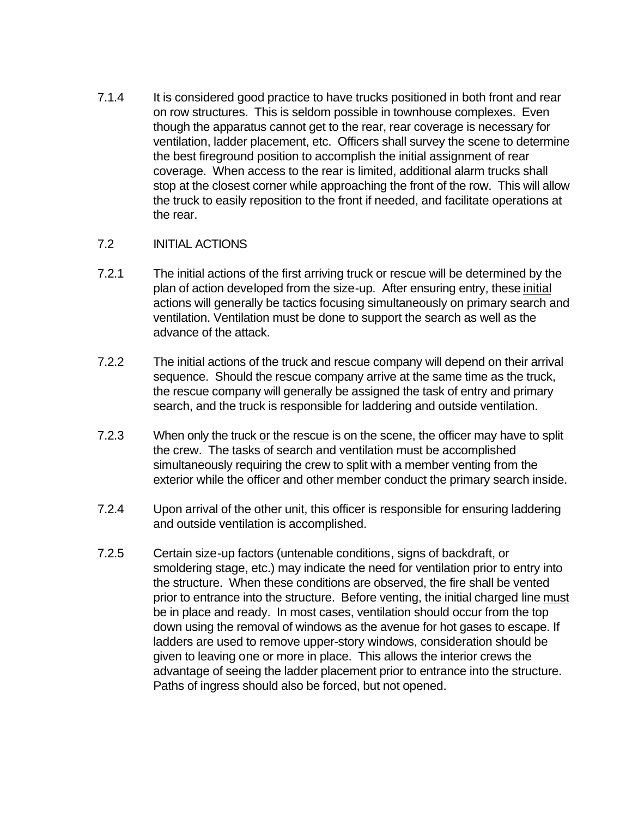7.1.4 It is considered good practice to have trucks positioned in both front and rear on row structures. This is seldom possible in townhouse complexes. Even though the apparatus cannot get to the rear, rear coverage is necessary for ventilation, ladder placement, etc. Officers shall survey the scene to determine the best fireground position to accomplish the initial assignment of rear coverage. When access to the rear is limited, additional alarm trucks shall stop at the closest corner while approaching the front of the row. This will allow the truck to easily reposition to the front if needed, and facilitate operations at the rear.

## 7.2 INITIAL ACTIONS

- 7.2.1 The initial actions of the first arriving truck or rescue will be determined by the plan of action developed from the size-up. After ensuring entry, these initial actions will generally be tactics focusing simultaneously on primary search and ventilation. Ventilation must be done to support the search as well as the advance of the attack.
- 7.2.2 The initial actions of the truck and rescue company will depend on their arrival sequence. Should the rescue company arrive at the same time as the truck, the rescue company will generally be assigned the task of entry and primary search, and the truck is responsible for laddering and outside ventilation.
- 7.2.3 When only the truck or the rescue is on the scene, the officer may have to split the crew. The tasks of search and ventilation must be accomplished simultaneously requiring the crew to split with a member venting from the exterior while the officer and other member conduct the primary search inside.
- 7.2.4 Upon arrival of the other unit, this officer is responsible for ensuring laddering and outside ventilation is accomplished.
- 7.2.5 Certain size-up factors (untenable conditions, signs of backdraft, or smoldering stage, etc.) may indicate the need for ventilation prior to entry into the structure. When these conditions are observed, the fire shall be vented prior to entrance into the structure. Before venting, the initial charged line must be in place and ready. In most cases, ventilation should occur from the top down using the removal of windows as the avenue for hot gases to escape. If ladders are used to remove upper-story windows, consideration should be given to leaving one or more in place. This allows the interior crews the advantage of seeing the ladder placement prior to entrance into the structure. Paths of ingress should also be forced, but not opened.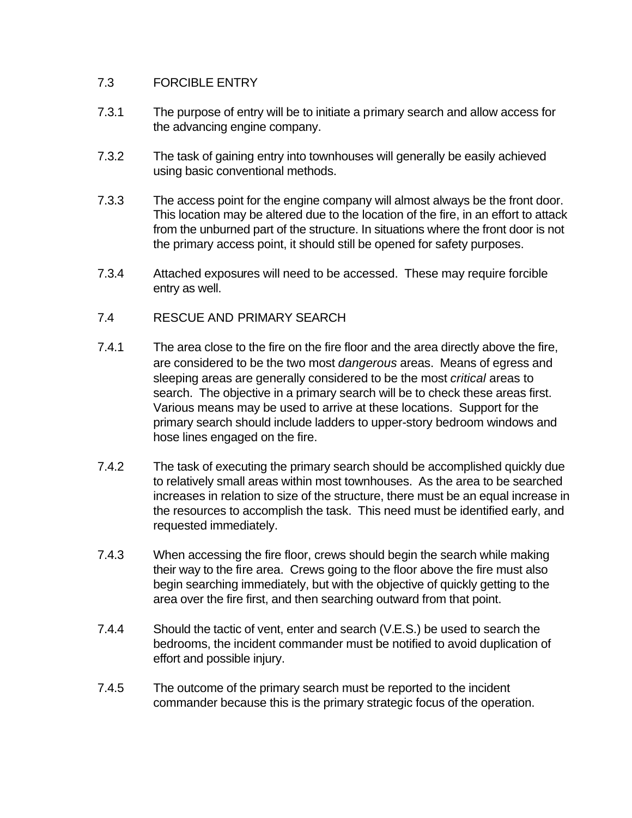# 7.3 FORCIBLE ENTRY

- 7.3.1 The purpose of entry will be to initiate a primary search and allow access for the advancing engine company.
- 7.3.2 The task of gaining entry into townhouses will generally be easily achieved using basic conventional methods.
- 7.3.3 The access point for the engine company will almost always be the front door. This location may be altered due to the location of the fire, in an effort to attack from the unburned part of the structure. In situations where the front door is not the primary access point, it should still be opened for safety purposes.
- 7.3.4 Attached exposures will need to be accessed. These may require forcible entry as well.
- 7.4 RESCUE AND PRIMARY SEARCH
- 7.4.1 The area close to the fire on the fire floor and the area directly above the fire, are considered to be the two most *dangerous* areas. Means of egress and sleeping areas are generally considered to be the most *critical* areas to search. The objective in a primary search will be to check these areas first. Various means may be used to arrive at these locations. Support for the primary search should include ladders to upper-story bedroom windows and hose lines engaged on the fire.
- 7.4.2 The task of executing the primary search should be accomplished quickly due to relatively small areas within most townhouses. As the area to be searched increases in relation to size of the structure, there must be an equal increase in the resources to accomplish the task. This need must be identified early, and requested immediately.
- 7.4.3 When accessing the fire floor, crews should begin the search while making their way to the fire area. Crews going to the floor above the fire must also begin searching immediately, but with the objective of quickly getting to the area over the fire first, and then searching outward from that point.
- 7.4.4 Should the tactic of vent, enter and search (V.E.S.) be used to search the bedrooms, the incident commander must be notified to avoid duplication of effort and possible injury.
- 7.4.5 The outcome of the primary search must be reported to the incident commander because this is the primary strategic focus of the operation.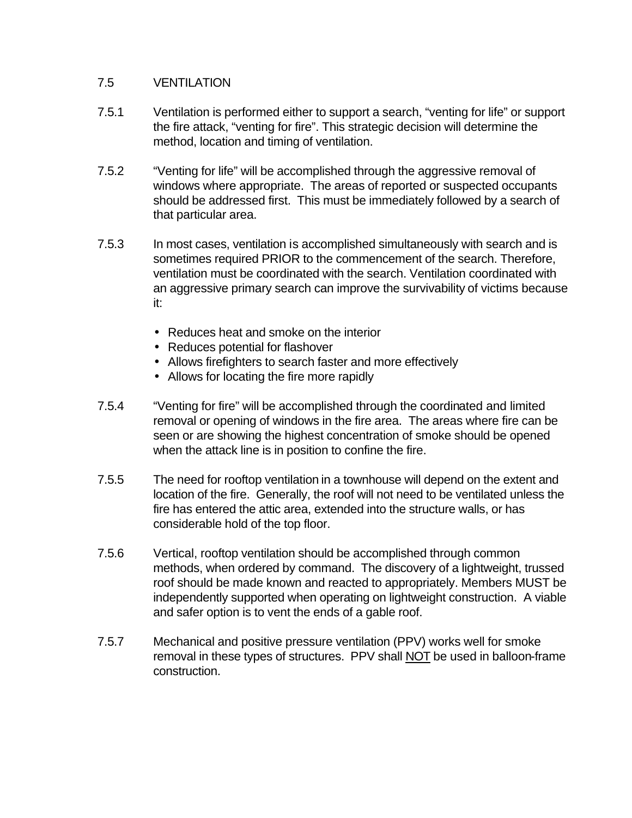### 7.5 VENTILATION

- 7.5.1 Ventilation is performed either to support a search, "venting for life" or support the fire attack, "venting for fire". This strategic decision will determine the method, location and timing of ventilation.
- 7.5.2 "Venting for life" will be accomplished through the aggressive removal of windows where appropriate. The areas of reported or suspected occupants should be addressed first. This must be immediately followed by a search of that particular area.
- 7.5.3 In most cases, ventilation is accomplished simultaneously with search and is sometimes required PRIOR to the commencement of the search. Therefore, ventilation must be coordinated with the search. Ventilation coordinated with an aggressive primary search can improve the survivability of victims because it:
	- Reduces heat and smoke on the interior
	- Reduces potential for flashover
	- Allows firefighters to search faster and more effectively
	- Allows for locating the fire more rapidly
- 7.5.4 "Venting for fire" will be accomplished through the coordinated and limited removal or opening of windows in the fire area. The areas where fire can be seen or are showing the highest concentration of smoke should be opened when the attack line is in position to confine the fire.
- 7.5.5 The need for rooftop ventilation in a townhouse will depend on the extent and location of the fire. Generally, the roof will not need to be ventilated unless the fire has entered the attic area, extended into the structure walls, or has considerable hold of the top floor.
- 7.5.6 Vertical, rooftop ventilation should be accomplished through common methods, when ordered by command. The discovery of a lightweight, trussed roof should be made known and reacted to appropriately. Members MUST be independently supported when operating on lightweight construction. A viable and safer option is to vent the ends of a gable roof.
- 7.5.7 Mechanical and positive pressure ventilation (PPV) works well for smoke removal in these types of structures. PPV shall NOT be used in balloon-frame construction.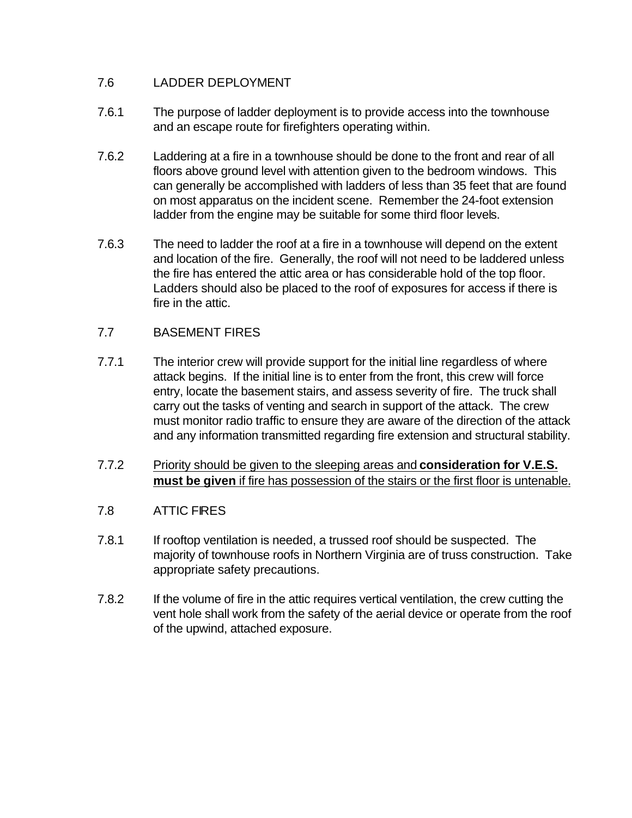# 7.6 LADDER DEPLOYMENT

- 7.6.1 The purpose of ladder deployment is to provide access into the townhouse and an escape route for firefighters operating within.
- 7.6.2 Laddering at a fire in a townhouse should be done to the front and rear of all floors above ground level with attention given to the bedroom windows. This can generally be accomplished with ladders of less than 35 feet that are found on most apparatus on the incident scene. Remember the 24-foot extension ladder from the engine may be suitable for some third floor levels.
- 7.6.3 The need to ladder the roof at a fire in a townhouse will depend on the extent and location of the fire. Generally, the roof will not need to be laddered unless the fire has entered the attic area or has considerable hold of the top floor. Ladders should also be placed to the roof of exposures for access if there is fire in the attic.

# 7.7 BASEMENT FIRES

- 7.7.1 The interior crew will provide support for the initial line regardless of where attack begins. If the initial line is to enter from the front, this crew will force entry, locate the basement stairs, and assess severity of fire. The truck shall carry out the tasks of venting and search in support of the attack. The crew must monitor radio traffic to ensure they are aware of the direction of the attack and any information transmitted regarding fire extension and structural stability.
- 7.7.2 Priority should be given to the sleeping areas and **consideration for V.E.S. must be given** if fire has possession of the stairs or the first floor is untenable.

# 7.8 ATTIC FIRES

- 7.8.1 If rooftop ventilation is needed, a trussed roof should be suspected. The majority of townhouse roofs in Northern Virginia are of truss construction. Take appropriate safety precautions.
- 7.8.2 If the volume of fire in the attic requires vertical ventilation, the crew cutting the vent hole shall work from the safety of the aerial device or operate from the roof of the upwind, attached exposure.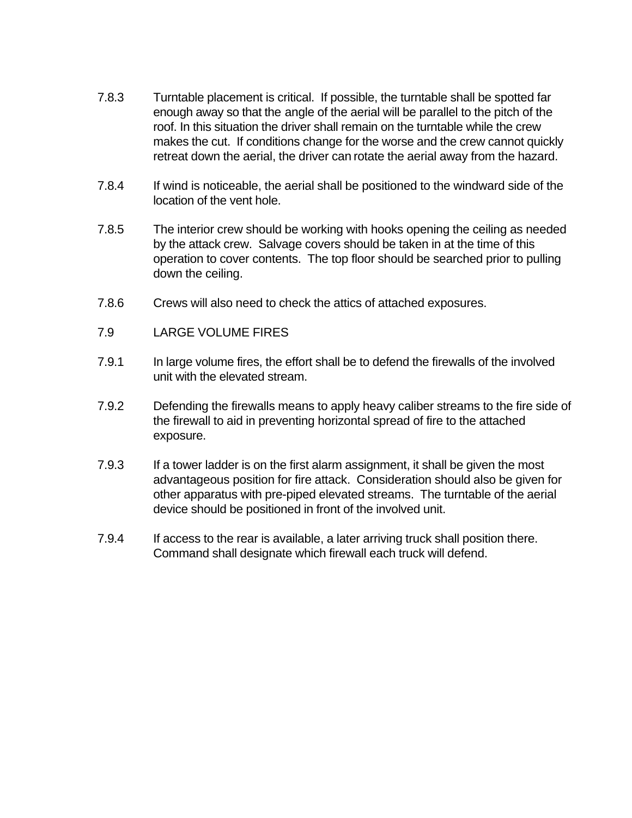- 7.8.3 Turntable placement is critical. If possible, the turntable shall be spotted far enough away so that the angle of the aerial will be parallel to the pitch of the roof. In this situation the driver shall remain on the turntable while the crew makes the cut. If conditions change for the worse and the crew cannot quickly retreat down the aerial, the driver can rotate the aerial away from the hazard.
- 7.8.4 If wind is noticeable, the aerial shall be positioned to the windward side of the location of the vent hole.
- 7.8.5 The interior crew should be working with hooks opening the ceiling as needed by the attack crew. Salvage covers should be taken in at the time of this operation to cover contents. The top floor should be searched prior to pulling down the ceiling.
- 7.8.6 Crews will also need to check the attics of attached exposures.
- 7.9 LARGE VOLUME FIRES
- 7.9.1 In large volume fires, the effort shall be to defend the firewalls of the involved unit with the elevated stream.
- 7.9.2 Defending the firewalls means to apply heavy caliber streams to the fire side of the firewall to aid in preventing horizontal spread of fire to the attached exposure.
- 7.9.3 If a tower ladder is on the first alarm assignment, it shall be given the most advantageous position for fire attack. Consideration should also be given for other apparatus with pre-piped elevated streams. The turntable of the aerial device should be positioned in front of the involved unit.
- 7.9.4 If access to the rear is available, a later arriving truck shall position there. Command shall designate which firewall each truck will defend.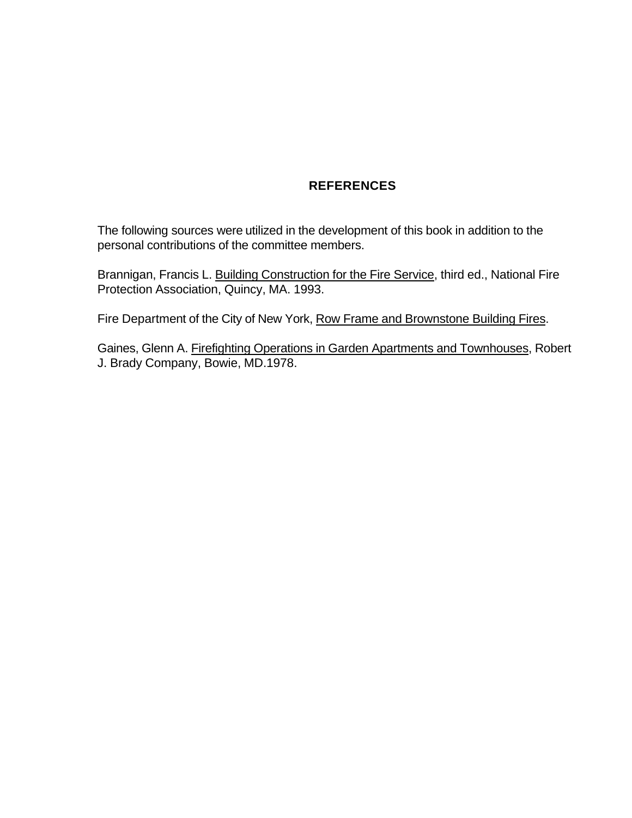#### **REFERENCES**

The following sources were utilized in the development of this book in addition to the personal contributions of the committee members.

Brannigan, Francis L. Building Construction for the Fire Service, third ed., National Fire Protection Association, Quincy, MA. 1993.

Fire Department of the City of New York, Row Frame and Brownstone Building Fires.

Gaines, Glenn A. Firefighting Operations in Garden Apartments and Townhouses, Robert J. Brady Company, Bowie, MD.1978.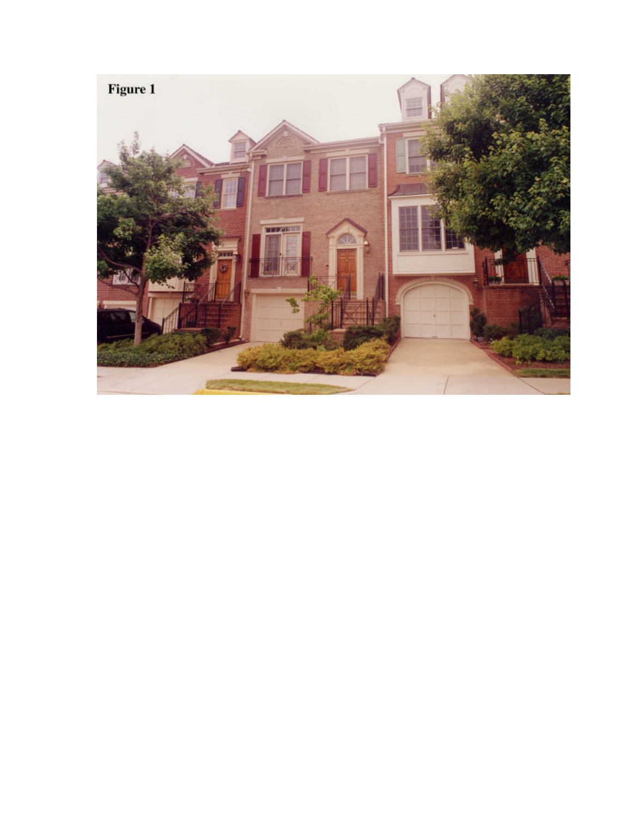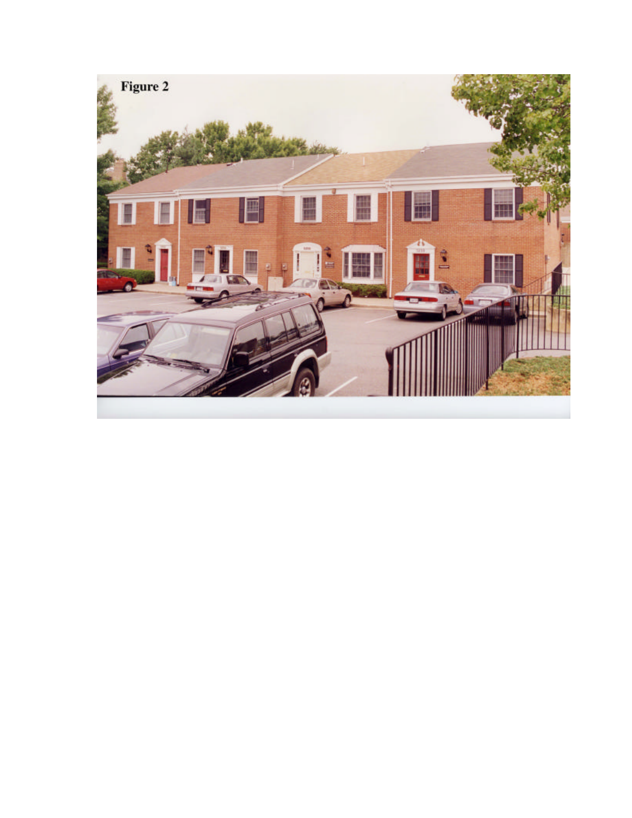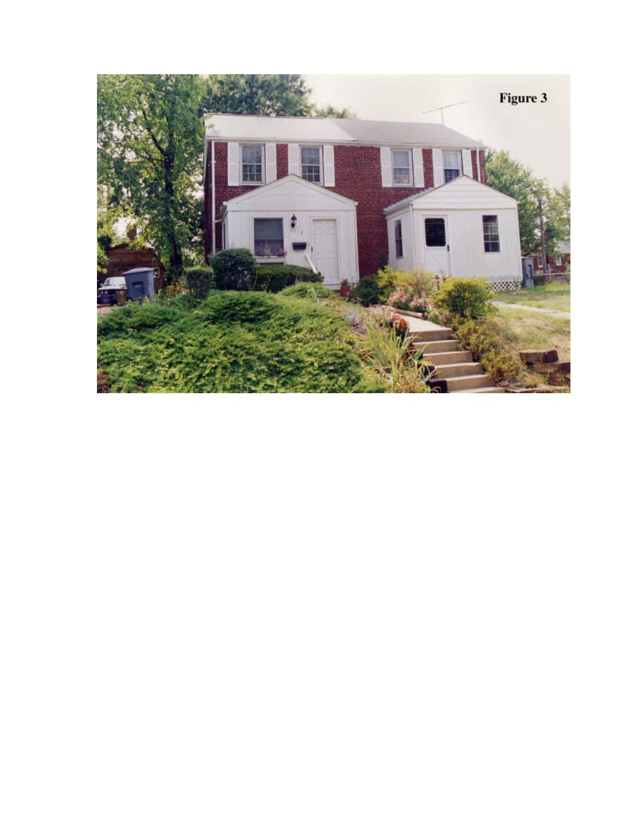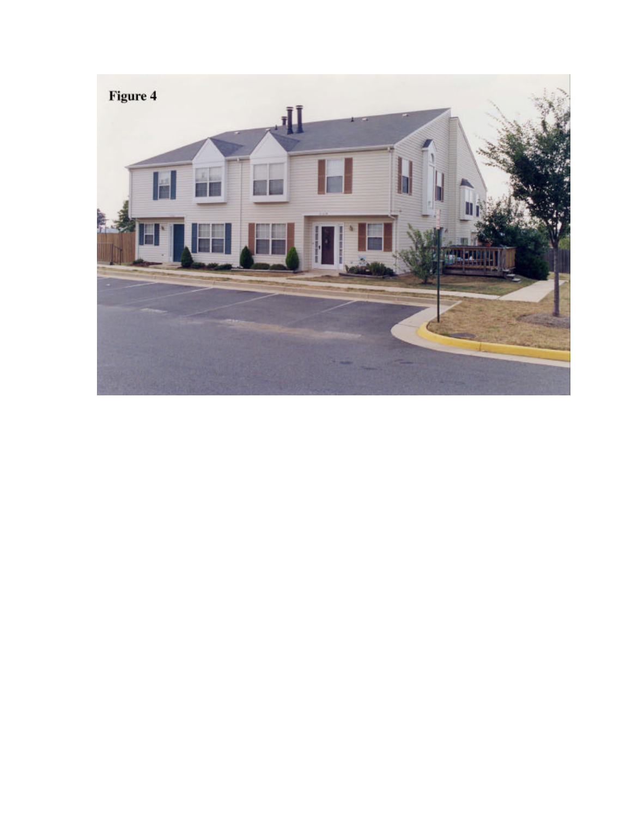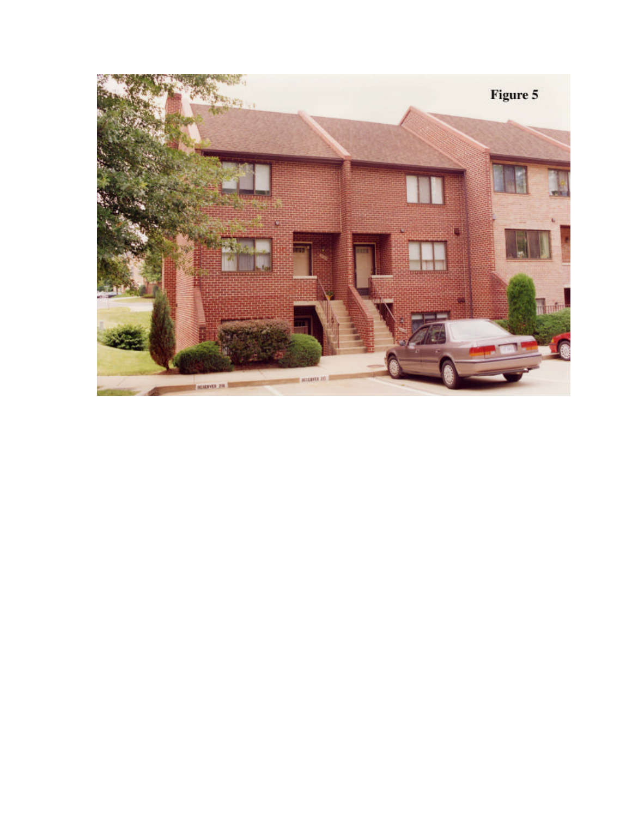